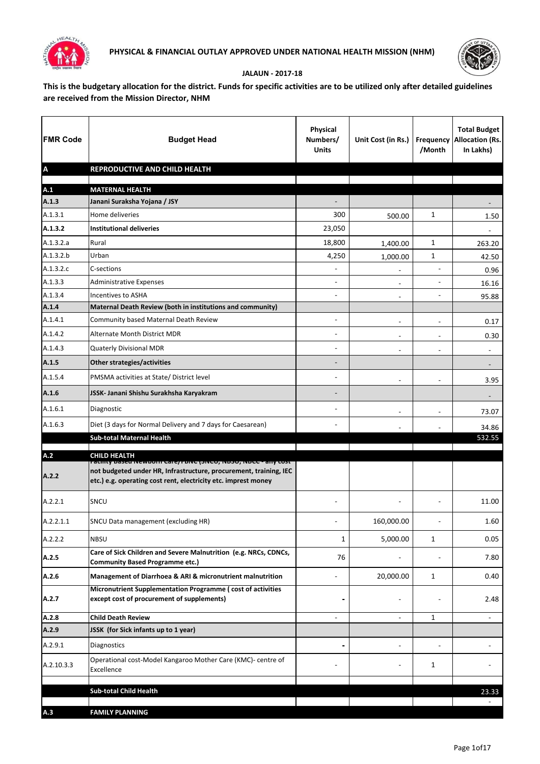



## **JALAUN - 2017-18**

**This is the budgetary allocation for the district. Funds for specific activities are to be utilized only after detailed guidelines are received from the Mission Director, NHM**

| <b>FMR Code</b>           | <b>Budget Head</b>                                                                                                                                                                                   | <b>Physical</b><br>Numbers/<br><b>Units</b> | Unit Cost (in Rs.)       | /Month                   | <b>Total Budget</b><br><b>Frequency Allocation (Rs.</b><br>In Lakhs) |
|---------------------------|------------------------------------------------------------------------------------------------------------------------------------------------------------------------------------------------------|---------------------------------------------|--------------------------|--------------------------|----------------------------------------------------------------------|
| $\boldsymbol{\mathsf{A}}$ | REPRODUCTIVE AND CHILD HEALTH                                                                                                                                                                        |                                             |                          |                          |                                                                      |
| A.1                       | <b>MATERNAL HEALTH</b>                                                                                                                                                                               |                                             |                          |                          |                                                                      |
| A.1.3                     | Janani Suraksha Yojana / JSY                                                                                                                                                                         |                                             |                          |                          |                                                                      |
| A.1.3.1                   | Home deliveries                                                                                                                                                                                      | 300                                         | 500.00                   | $\mathbf{1}$             | 1.50                                                                 |
| A.1.3.2                   | <b>Institutional deliveries</b>                                                                                                                                                                      | 23,050                                      |                          |                          |                                                                      |
| A.1.3.2.a                 | Rural                                                                                                                                                                                                | 18,800                                      | 1,400.00                 | 1                        | 263.20                                                               |
| A.1.3.2.b                 | Urban                                                                                                                                                                                                | 4,250                                       | 1,000.00                 | 1                        | 42.50                                                                |
| A.1.3.2.c                 | C-sections                                                                                                                                                                                           | $\blacksquare$                              | $\overline{\phantom{a}}$ | $\overline{a}$           | 0.96                                                                 |
| A.1.3.3                   | <b>Administrative Expenses</b>                                                                                                                                                                       | ۰                                           | $\blacksquare$           | $\overline{\phantom{a}}$ | 16.16                                                                |
| A.1.3.4                   | <b>Incentives to ASHA</b>                                                                                                                                                                            | ۰                                           | $\blacksquare$           | $\overline{\phantom{a}}$ | 95.88                                                                |
| A.1.4                     | Maternal Death Review (both in institutions and community)                                                                                                                                           |                                             |                          |                          |                                                                      |
| A.1.4.1                   | Community based Maternal Death Review                                                                                                                                                                | $\overline{\phantom{0}}$                    |                          |                          | 0.17                                                                 |
| A.1.4.2                   | Alternate Month District MDR                                                                                                                                                                         | ÷                                           | $\blacksquare$           | $\overline{\phantom{m}}$ | 0.30                                                                 |
| A.1.4.3                   | Quaterly Divisional MDR                                                                                                                                                                              |                                             | $\overline{\phantom{a}}$ | $\overline{a}$           | $\blacksquare$                                                       |
| A.1.5                     | Other strategies/activities                                                                                                                                                                          | -                                           |                          |                          |                                                                      |
| A.1.5.4                   | PMSMA activities at State/ District level                                                                                                                                                            | $\blacksquare$                              | $\overline{\phantom{a}}$ | $\overline{a}$           | 3.95                                                                 |
| A.1.6                     | JSSK- Janani Shishu Surakhsha Karyakram                                                                                                                                                              |                                             |                          |                          |                                                                      |
| A.1.6.1                   | Diagnostic                                                                                                                                                                                           | $\blacksquare$                              | $\overline{\phantom{a}}$ | $\overline{\phantom{0}}$ | 73.07                                                                |
| A.1.6.3                   | Diet (3 days for Normal Delivery and 7 days for Caesarean)                                                                                                                                           | ۰                                           |                          |                          | 34.86                                                                |
|                           | <b>Sub-total Maternal Health</b>                                                                                                                                                                     |                                             |                          |                          | 532.55                                                               |
| A.2                       | <b>CHILD HEALTH</b>                                                                                                                                                                                  |                                             |                          |                          |                                                                      |
| A.2.2                     | racinty based Newborn Care/ רווס (אופן דאס), ואסכל - any cost<br>not budgeted under HR, Infrastructure, procurement, training, IEC<br>etc.) e.g. operating cost rent, electricity etc. imprest money |                                             |                          |                          |                                                                      |
| A.2.2.1                   | SNCU                                                                                                                                                                                                 |                                             |                          |                          | 11.00                                                                |
| A.2.2.1.1                 | SNCU Data management (excluding HR)                                                                                                                                                                  |                                             | 160,000.00               |                          | 1.60                                                                 |
| A.2.2.2                   | <b>NBSU</b>                                                                                                                                                                                          | 1                                           | 5,000.00                 | 1                        | 0.05                                                                 |
| A.2.5                     | Care of Sick Children and Severe Malnutrition (e.g. NRCs, CDNCs,<br><b>Community Based Programme etc.)</b>                                                                                           | 76                                          |                          |                          | 7.80                                                                 |
| A.2.6                     | Management of Diarrhoea & ARI & micronutrient malnutrition                                                                                                                                           |                                             | 20,000.00                | 1                        | 0.40                                                                 |
| A.2.7                     | Micronutrient Supplementation Programme (cost of activities<br>except cost of procurement of supplements)                                                                                            |                                             | -                        |                          | 2.48                                                                 |
| A.2.8                     | <b>Child Death Review</b>                                                                                                                                                                            | ۰                                           | $\blacksquare$           | 1                        | $\blacksquare$                                                       |
| A.2.9                     | JSSK (for Sick infants up to 1 year)                                                                                                                                                                 |                                             |                          |                          |                                                                      |
| A.2.9.1                   | Diagnostics                                                                                                                                                                                          |                                             |                          |                          |                                                                      |
| A.2.10.3.3                | Operational cost-Model Kangaroo Mother Care (KMC)- centre of<br>Excellence                                                                                                                           |                                             |                          | 1                        |                                                                      |
|                           | <b>Sub-total Child Health</b>                                                                                                                                                                        |                                             |                          |                          |                                                                      |
|                           |                                                                                                                                                                                                      |                                             |                          |                          | 23.33                                                                |
| A.3                       | <b>FAMILY PLANNING</b>                                                                                                                                                                               |                                             |                          |                          |                                                                      |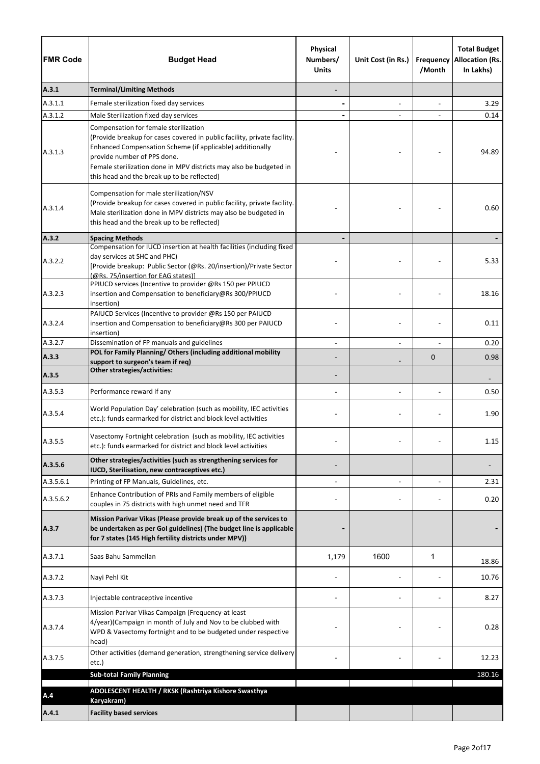| <b>FMR Code</b> | <b>Budget Head</b>                                                                                                                                                                                                                                                                                                                 | Physical<br>Numbers/<br><b>Units</b> | Unit Cost (in Rs.) | Frequency<br>/Month | <b>Total Budget</b><br><b>Allocation (Rs.</b><br>In Lakhs) |
|-----------------|------------------------------------------------------------------------------------------------------------------------------------------------------------------------------------------------------------------------------------------------------------------------------------------------------------------------------------|--------------------------------------|--------------------|---------------------|------------------------------------------------------------|
| A.3.1           | <b>Terminal/Limiting Methods</b>                                                                                                                                                                                                                                                                                                   |                                      |                    |                     |                                                            |
| A.3.1.1         | Female sterilization fixed day services                                                                                                                                                                                                                                                                                            |                                      | $\blacksquare$     | $\overline{a}$      | 3.29                                                       |
| A.3.1.2         | Male Sterilization fixed day services                                                                                                                                                                                                                                                                                              |                                      |                    |                     | 0.14                                                       |
| A.3.1.3         | Compensation for female sterilization<br>(Provide breakup for cases covered in public facility, private facility.<br>Enhanced Compensation Scheme (if applicable) additionally<br>provide number of PPS done.<br>Female sterilization done in MPV districts may also be budgeted in<br>this head and the break up to be reflected) |                                      |                    |                     | 94.89                                                      |
| A.3.1.4         | Compensation for male sterilization/NSV<br>(Provide breakup for cases covered in public facility, private facility.<br>Male sterilization done in MPV districts may also be budgeted in<br>this head and the break up to be reflected)                                                                                             |                                      |                    |                     | 0.60                                                       |
| A.3.2           | <b>Spacing Methods</b>                                                                                                                                                                                                                                                                                                             |                                      |                    |                     |                                                            |
| A.3.2.2         | Compensation for IUCD insertion at health facilities (including fixed<br>day services at SHC and PHC)<br>[Provide breakup: Public Sector (@Rs. 20/insertion)/Private Sector<br>(@Rs. 75/insertion for EAG states)]<br>PPIUCD services (Incentive to provider @Rs 150 per PPIUCD                                                    |                                      |                    |                     | 5.33                                                       |
| A.3.2.3         | insertion and Compensation to beneficiary@Rs 300/PPIUCD<br>insertion)                                                                                                                                                                                                                                                              |                                      |                    |                     | 18.16                                                      |
| A.3.2.4         | PAIUCD Services (Incentive to provider @Rs 150 per PAIUCD<br>insertion and Compensation to beneficiary@Rs 300 per PAIUCD<br>insertion)                                                                                                                                                                                             |                                      |                    |                     | 0.11                                                       |
| A.3.2.7         | Dissemination of FP manuals and guidelines                                                                                                                                                                                                                                                                                         |                                      |                    |                     | 0.20                                                       |
| A.3.3           | POL for Family Planning/ Others (including additional mobility<br>support to surgeon's team if req)                                                                                                                                                                                                                                |                                      |                    | $\mathbf 0$         | 0.98                                                       |
| A.3.5           | Other strategies/activities:                                                                                                                                                                                                                                                                                                       |                                      |                    |                     |                                                            |
| A.3.5.3         | Performance reward if any                                                                                                                                                                                                                                                                                                          |                                      |                    |                     | 0.50                                                       |
| A.3.5.4         | World Population Day' celebration (such as mobility, IEC activities<br>etc.): funds earmarked for district and block level activities                                                                                                                                                                                              |                                      |                    |                     | 1.90                                                       |
| A.3.5.5         | Vasectomy Fortnight celebration (such as mobility, IEC activities<br>etc.): funds earmarked for district and block level activities                                                                                                                                                                                                |                                      |                    |                     | 1.15                                                       |
| A.3.5.6         | Other strategies/activities (such as strengthening services for<br>IUCD, Sterilisation, new contraceptives etc.)                                                                                                                                                                                                                   |                                      |                    |                     |                                                            |
| A.3.5.6.1       | Printing of FP Manuals, Guidelines, etc.                                                                                                                                                                                                                                                                                           |                                      |                    |                     | 2.31                                                       |
| A.3.5.6.2       | Enhance Contribution of PRIs and Family members of eligible<br>couples in 75 districts with high unmet need and TFR                                                                                                                                                                                                                |                                      |                    |                     | 0.20                                                       |
| A.3.7           | Mission Parivar Vikas (Please provide break up of the services to<br>be undertaken as per GoI guidelines) (The budget line is applicable<br>for 7 states (145 High fertility districts under MPV))                                                                                                                                 |                                      |                    |                     |                                                            |
| A.3.7.1         | Saas Bahu Sammellan                                                                                                                                                                                                                                                                                                                | 1,179                                | 1600               | 1                   | 18.86                                                      |
| A.3.7.2         | Nayi Pehl Kit                                                                                                                                                                                                                                                                                                                      |                                      |                    |                     | 10.76                                                      |
| A.3.7.3         | Injectable contraceptive incentive                                                                                                                                                                                                                                                                                                 |                                      |                    |                     | 8.27                                                       |
| A.3.7.4         | Mission Parivar Vikas Campaign (Frequency-at least<br>4/year)(Campaign in month of July and Nov to be clubbed with<br>WPD & Vasectomy fortnight and to be budgeted under respective<br>head)                                                                                                                                       |                                      |                    |                     | 0.28                                                       |
| A.3.7.5         | Other activities (demand generation, strengthening service delivery<br>etc.)                                                                                                                                                                                                                                                       |                                      |                    |                     | 12.23                                                      |
|                 | <b>Sub-total Family Planning</b>                                                                                                                                                                                                                                                                                                   |                                      |                    |                     | 180.16                                                     |
| A.4             | ADOLESCENT HEALTH / RKSK (Rashtriya Kishore Swasthya<br>Karyakram)                                                                                                                                                                                                                                                                 |                                      |                    |                     |                                                            |
| A.4.1           | <b>Facility based services</b>                                                                                                                                                                                                                                                                                                     |                                      |                    |                     |                                                            |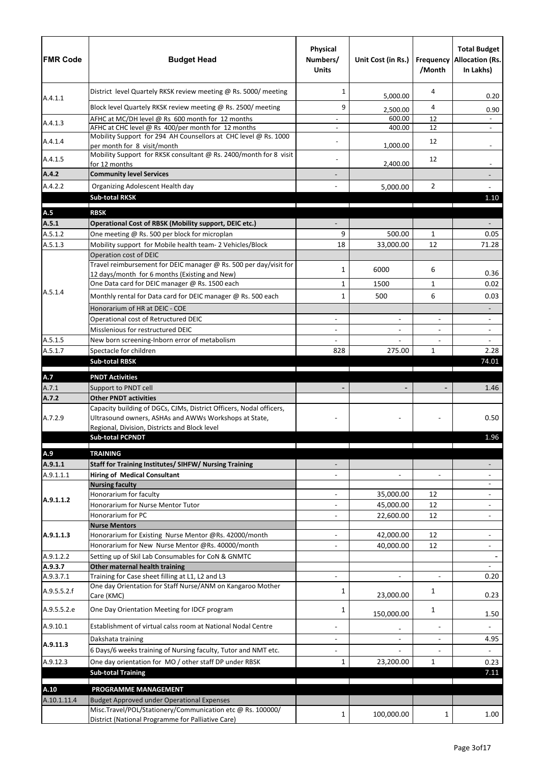| <b>FMR Code</b>    | <b>Budget Head</b>                                                                                        | Physical<br>Numbers/<br><b>Units</b> | Unit Cost (in Rs.)     | /Month         | <b>Total Budget</b><br><b>Frequency Allocation (Rs.</b><br>In Lakhs) |
|--------------------|-----------------------------------------------------------------------------------------------------------|--------------------------------------|------------------------|----------------|----------------------------------------------------------------------|
|                    | District level Quartely RKSK review meeting @ Rs. 5000/ meeting                                           | 1                                    | 5,000.00               | 4              | 0.20                                                                 |
| A.4.1.1            | Block level Quartely RKSK review meeting @ Rs. 2500/ meeting                                              | 9                                    | 2,500.00               | 4              | 0.90                                                                 |
|                    | AFHC at MC/DH level @ Rs 600 month for 12 months                                                          |                                      | 600.00                 | 12             |                                                                      |
| A.4.1.3            | AFHC at CHC level @ Rs 400/per month for 12 months                                                        |                                      | 400.00                 | 12             |                                                                      |
| A.4.1.4            | Mobility Support for 294 AH Counsellors at CHC level @ Rs. 1000<br>per month for 8 visit/month            |                                      | 1,000.00               | 12             |                                                                      |
| A.4.1.5            | Mobility Support for RKSK consultant @ Rs. 2400/month for 8 visit<br>for 12 months                        |                                      | 2,400.00               | 12             |                                                                      |
| A.4.2              | <b>Community level Services</b>                                                                           |                                      |                        |                |                                                                      |
| A.4.2.2            | Organizing Adolescent Health day                                                                          |                                      | 5,000.00               | $\overline{2}$ |                                                                      |
|                    | <b>Sub-total RKSK</b>                                                                                     |                                      |                        |                | 1.10                                                                 |
| A.5                | <b>RBSK</b>                                                                                               |                                      |                        |                |                                                                      |
| A.5.1              | Operational Cost of RBSK (Mobility support, DEIC etc.)                                                    |                                      |                        |                |                                                                      |
| A.5.1.2            | One meeting @ Rs. 500 per block for microplan                                                             | 9                                    | 500.00                 | $\mathbf{1}$   | 0.05                                                                 |
| A.5.1.3            | Mobility support for Mobile health team- 2 Vehicles/Block                                                 | 18                                   | 33,000.00              | 12             | 71.28                                                                |
|                    | Operation cost of DEIC                                                                                    |                                      |                        |                |                                                                      |
|                    | Travel reimbursement for DEIC manager @ Rs. 500 per day/visit for                                         | 1                                    | 6000                   | 6              |                                                                      |
|                    | 12 days/month for 6 months (Existing and New)                                                             |                                      |                        |                | 0.36                                                                 |
| A.5.1.4            | One Data card for DEIC manager @ Rs. 1500 each                                                            | 1                                    | 1500                   | $\mathbf{1}$   | 0.02                                                                 |
|                    | Monthly rental for Data card for DEIC manager @ Rs. 500 each                                              | 1                                    | 500                    | 6              | 0.03                                                                 |
|                    | Honorarium of HR at DEIC - COE                                                                            |                                      |                        |                |                                                                      |
|                    | Operational cost of Retructured DEIC                                                                      |                                      |                        | $\blacksquare$ |                                                                      |
|                    | Misslenious for restructured DEIC                                                                         |                                      |                        |                | $\blacksquare$                                                       |
| A.5.1.5<br>A.5.1.7 | New born screening-Inborn error of metabolism<br>Spectacle for children                                   | 828                                  | 275.00                 | $\mathbf{1}$   | $\overline{a}$<br>2.28                                               |
|                    | <b>Sub-total RBSK</b>                                                                                     |                                      |                        |                | 74.01                                                                |
|                    |                                                                                                           |                                      |                        |                |                                                                      |
| A.7                | <b>PNDT Activities</b>                                                                                    |                                      |                        |                |                                                                      |
| A.7.1              | Support to PNDT cell                                                                                      |                                      |                        |                | 1.46                                                                 |
| A.7.2              | <b>Other PNDT activities</b><br>Capacity building of DGCs, CJMs, District Officers, Nodal officers,       |                                      |                        |                |                                                                      |
| A.7.2.9            | Ultrasound owners, ASHAs and AWWs Workshops at State,                                                     |                                      |                        |                | 0.50                                                                 |
|                    | Regional, Division, Districts and Block level<br><b>Sub-total PCPNDT</b>                                  |                                      |                        |                | 1.96                                                                 |
| A.9                | <b>TRAINING</b>                                                                                           |                                      |                        |                |                                                                      |
| A.9.1.1            | Staff for Training Institutes/ SIHFW/ Nursing Training                                                    |                                      |                        |                |                                                                      |
| A.9.1.1.1          | <b>Hiring of Medical Consultant</b>                                                                       |                                      | $\blacksquare$         | $\overline{a}$ |                                                                      |
|                    | <b>Nursing faculty</b>                                                                                    |                                      |                        |                |                                                                      |
|                    | Honorarium for faculty                                                                                    |                                      | 35,000.00              | 12             |                                                                      |
| A.9.1.1.2          | Honorarium for Nurse Mentor Tutor                                                                         |                                      | 45,000.00              | 12             |                                                                      |
|                    | Honorarium for PC                                                                                         |                                      | 22,600.00              | 12             |                                                                      |
|                    | <b>Nurse Mentors</b>                                                                                      |                                      |                        |                |                                                                      |
| A.9.1.1.3          | Honorarium for Existing Nurse Mentor @Rs. 42000/month<br>Honorarium for New Nurse Mentor @Rs. 40000/month |                                      | 42,000.00<br>40,000.00 | 12<br>12       |                                                                      |
| A.9.1.2.2          | Setting up of Skil Lab Consumables for CoN & GNMTC                                                        |                                      |                        |                |                                                                      |
| A.9.3.7            | Other maternal health training                                                                            |                                      |                        |                |                                                                      |
| A.9.3.7.1          | Training for Case sheet filling at L1, L2 and L3                                                          |                                      |                        | $\omega$       | 0.20                                                                 |
| A.9.5.5.2.f        | One day Orientation for Staff Nurse/ANM on Kangaroo Mother<br>Care (KMC)                                  | 1                                    | 23,000.00              | 1              | 0.23                                                                 |
| A.9.5.5.2.e        | One Day Orientation Meeting for IDCF program                                                              | 1                                    | 150,000.00             | 1              | 1.50                                                                 |
| A.9.10.1           | Establishment of virtual calss room at National Nodal Centre                                              |                                      |                        | $\blacksquare$ |                                                                      |
|                    | Dakshata training                                                                                         |                                      | $\blacksquare$         | $\blacksquare$ | 4.95                                                                 |
| A.9.11.3           | 6 Days/6 weeks training of Nursing faculty, Tutor and NMT etc.                                            |                                      |                        |                |                                                                      |
| A.9.12.3           | One day orientation for MO / other staff DP under RBSK                                                    | 1                                    | 23,200.00              | $\mathbf{1}$   | 0.23                                                                 |
|                    | <b>Sub-total Training</b>                                                                                 |                                      |                        |                | 7.11                                                                 |
|                    |                                                                                                           |                                      |                        |                |                                                                      |
| A.10               | PROGRAMME MANAGEMENT                                                                                      |                                      |                        |                |                                                                      |
| A.10.1.11.4        | Budget Approved under Operational Expenses<br>Misc.Travel/POL/Stationery/Communication etc @ Rs. 100000/  |                                      |                        |                |                                                                      |
|                    | District (National Programme for Palliative Care)                                                         | 1                                    | 100,000.00             | 1              | 1.00                                                                 |
|                    |                                                                                                           |                                      |                        |                |                                                                      |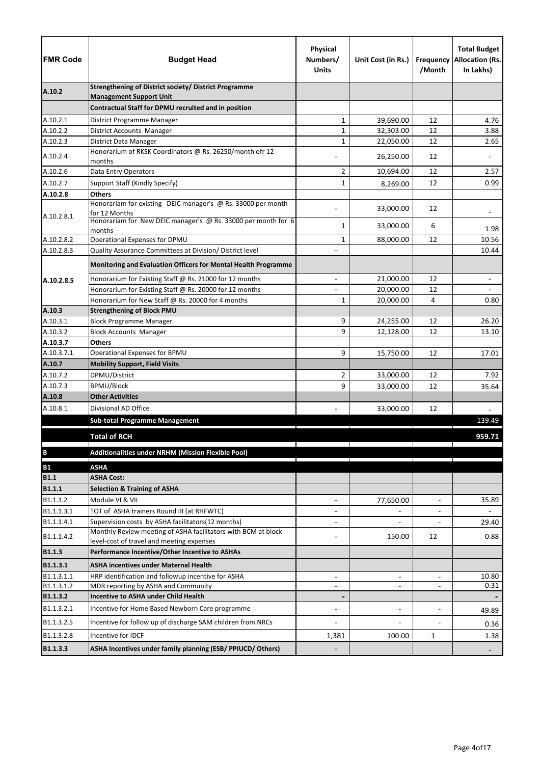| <b>FMR Code</b>          | <b>Budget Head</b>                                                                                                 | Physical<br>Numbers/<br><b>Units</b> | Unit Cost (in Rs.)     | Frequency<br>/Month              | <b>Total Budget</b><br><b>Allocation (Rs.</b><br>In Lakhs) |
|--------------------------|--------------------------------------------------------------------------------------------------------------------|--------------------------------------|------------------------|----------------------------------|------------------------------------------------------------|
| A.10.2                   | <b>Strengthening of District society/ District Programme</b>                                                       |                                      |                        |                                  |                                                            |
|                          | <b>Management Support Unit</b><br>Contractual Staff for DPMU recruited and in position                             |                                      |                        |                                  |                                                            |
|                          |                                                                                                                    |                                      |                        |                                  |                                                            |
| A.10.2.1<br>A.10.2.2     | District Programme Manager<br>District Accounts Manager                                                            | 1<br>$\mathbf 1$                     | 39,690.00<br>32,303.00 | 12<br>12                         | 4.76<br>3.88                                               |
| A.10.2.3                 | District Data Manager                                                                                              | $\mathbf 1$                          | 22,050.00              | 12                               | 2.65                                                       |
|                          | Honorarium of RKSK Coordinators @ Rs. 26250/month ofr 12                                                           |                                      |                        |                                  |                                                            |
| A.10.2.4                 | months                                                                                                             |                                      | 26,250.00              | 12                               |                                                            |
| A.10.2.6                 | Data Entry Operators                                                                                               | 2                                    | 10,694.00              | 12                               | 2.57                                                       |
| A.10.2.7                 | Support Staff (Kindly Specify)                                                                                     | 1                                    | 8,269.00               | 12                               | 0.99                                                       |
| A.10.2.8                 | <b>Others</b>                                                                                                      |                                      |                        |                                  |                                                            |
|                          | Honorariam for existing DEIC manager's @ Rs. 33000 per month                                                       |                                      | 33,000.00              | 12                               |                                                            |
| A.10.2.8.1               | for 12 Months<br>Honorariam for New DEIC manager's @ Rs. 33000 per month for 6                                     |                                      |                        |                                  |                                                            |
|                          | months                                                                                                             | 1                                    | 33,000.00              | 6                                | 1.98                                                       |
| A.10.2.8.2               | Operational Expenses for DPMU                                                                                      | $\mathbf{1}$                         | 88,000.00              | 12                               | 10.56                                                      |
| A.10.2.8.3               | Quality Assurance Committees at Division/ District level                                                           |                                      |                        |                                  | 10.44                                                      |
|                          | Monitoring and Evaluation Officers for Mental Health Programme                                                     |                                      |                        |                                  |                                                            |
| A.10.2.8.5               | Honorarium for Existing Staff @ Rs. 21000 for 12 months                                                            |                                      | 21,000.00              | 12                               |                                                            |
|                          | Honorarium for Existing Staff @ Rs. 20000 for 12 months                                                            |                                      | 20,000.00              | 12                               |                                                            |
|                          | Honorarium for New Staff @ Rs. 20000 for 4 months                                                                  | 1                                    | 20,000.00              | 4                                | 0.80                                                       |
| A.10.3                   | <b>Strengthening of Block PMU</b>                                                                                  |                                      |                        |                                  |                                                            |
| A.10.3.1                 | <b>Block Programme Manager</b>                                                                                     | 9                                    | 24,255.00              | 12                               | 26.20                                                      |
| A.10.3.2                 | <b>Block Accounts Manager</b>                                                                                      | 9                                    | 12,128.00              | 12                               | 13.10                                                      |
| A.10.3.7<br>A.10.3.7.1   | <b>Others</b><br>Operational Expenses for BPMU                                                                     | 9                                    |                        | 12                               | 17.01                                                      |
| A.10.7                   | <b>Mobility Support, Field Visits</b>                                                                              |                                      | 15,750.00              |                                  |                                                            |
| A.10.7.2                 | DPMU/District                                                                                                      | $\overline{2}$                       | 33,000.00              | 12                               | 7.92                                                       |
| A.10.7.3                 | <b>BPMU/Block</b>                                                                                                  | 9                                    | 33,000.00              | 12                               | 35.64                                                      |
| A.10.8                   | <b>Other Activities</b>                                                                                            |                                      |                        |                                  |                                                            |
| A.10.8.1                 | Divisional AD Office                                                                                               |                                      | 33,000.00              | 12                               |                                                            |
|                          | <b>Sub-total Programme Management</b>                                                                              |                                      |                        |                                  | 139.49                                                     |
|                          | <b>Total of RCH</b>                                                                                                |                                      |                        |                                  | 959.71                                                     |
|                          | Additionalities under NRHM (Mission Flexible Pool)                                                                 |                                      |                        |                                  |                                                            |
| $\, {\bf B}$             |                                                                                                                    |                                      |                        |                                  |                                                            |
| <b>B1</b>                | <b>ASHA</b>                                                                                                        |                                      |                        |                                  |                                                            |
| <b>B1.1</b>              | <b>ASHA Cost:</b>                                                                                                  |                                      |                        |                                  |                                                            |
| <b>B1.1.1</b>            | <b>Selection &amp; Training of ASHA</b>                                                                            |                                      |                        |                                  |                                                            |
| B1.1.1.2                 | Module VI & VII                                                                                                    | $\overline{\phantom{a}}$             | 77,650.00              | $\blacksquare$                   | 35.89                                                      |
| B1.1.1.3.1<br>B1.1.1.4.1 | TOT of ASHA trainers Round III (at RHFWTC)                                                                         |                                      |                        |                                  |                                                            |
| B1.1.1.4.2               | Supervision costs by ASHA facilitators(12 months)<br>Monthly Review meeting of ASHA facilitators with BCM at block | $\blacksquare$                       | 150.00                 | 12                               | 29.40<br>0.88                                              |
| <b>B1.1.3</b>            | level-cost of travel and meeting expenses<br>Performance Incentive/Other Incentive to ASHAs                        |                                      |                        |                                  |                                                            |
|                          |                                                                                                                    |                                      |                        |                                  |                                                            |
| B1.1.3.1                 | <b>ASHA incentives under Maternal Health</b>                                                                       |                                      |                        |                                  |                                                            |
| B1.1.3.1.1<br>B1.1.3.1.2 | HRP identification and followup incentive for ASHA<br>MDR reporting by ASHA and Community                          | $\blacksquare$                       | $\blacksquare$         | $\blacksquare$<br>$\blacksquare$ | 10.80<br>0.31                                              |
| B1.1.3.2                 | <b>Incentive to ASHA under Child Health</b>                                                                        |                                      |                        |                                  |                                                            |
| B1.1.3.2.1               | Incentive for Home Based Newborn Care programme                                                                    |                                      | $\blacksquare$         | $\overline{a}$                   |                                                            |
|                          |                                                                                                                    |                                      |                        |                                  | 49.89                                                      |
| B1.1.3.2.5               | Incentive for follow up of discharge SAM children from NRCs                                                        |                                      |                        |                                  | 0.36                                                       |
| B1.1.3.2.8               | Incentive for IDCF                                                                                                 | 1,381                                | 100.00                 | 1                                | 1.38                                                       |
| B1.1.3.3                 | ASHA Incentives under family planning (ESB/ PPIUCD/ Others)                                                        |                                      |                        |                                  |                                                            |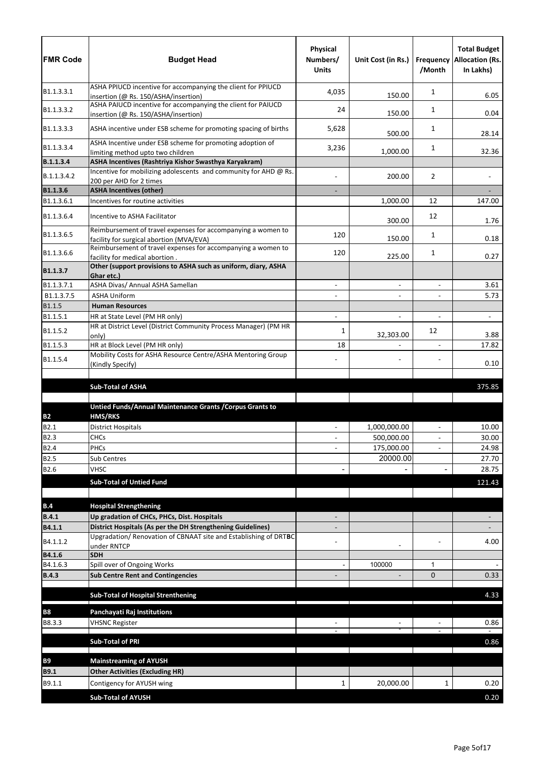| <b>FMR Code</b>       | <b>Budget Head</b>                                                                                                              | Physical<br>Numbers/<br><b>Units</b> | Unit Cost (in Rs.) | /Month                   | <b>Total Budget</b><br><b>Frequency Allocation (Rs.</b><br>In Lakhs) |
|-----------------------|---------------------------------------------------------------------------------------------------------------------------------|--------------------------------------|--------------------|--------------------------|----------------------------------------------------------------------|
| B1.1.3.3.1            | ASHA PPIUCD incentive for accompanying the client for PPIUCD<br>insertion (@ Rs. 150/ASHA/insertion)                            | 4,035                                | 150.00             | 1                        | 6.05                                                                 |
| B1.1.3.3.2            | ASHA PAIUCD incentive for accompanying the client for PAIUCD<br>insertion (@ Rs. 150/ASHA/insertion)                            | 24                                   | 150.00             | 1                        | 0.04                                                                 |
| B1.1.3.3.3            | ASHA incentive under ESB scheme for promoting spacing of births                                                                 | 5,628                                | 500.00             | 1                        | 28.14                                                                |
| B1.1.3.3.4            | ASHA Incentive under ESB scheme for promoting adoption of<br>limiting method upto two children                                  | 3,236                                | 1,000.00           | 1                        | 32.36                                                                |
| B.1.1.3.4             | ASHA Incentives (Rashtriya Kishor Swasthya Karyakram)                                                                           |                                      |                    |                          |                                                                      |
| B.1.1.3.4.2           | Incentive for mobilizing adolescents and community for AHD @ Rs.<br>200 per AHD for 2 times                                     |                                      | 200.00             | 2                        |                                                                      |
| B1.1.3.6              | <b>ASHA Incentives (other)</b>                                                                                                  |                                      |                    |                          |                                                                      |
| B1.1.3.6.1            | Incentives for routine activities                                                                                               |                                      | 1,000.00           | 12                       | 147.00                                                               |
| B1.1.3.6.4            | Incentive to ASHA Facilitator                                                                                                   |                                      | 300.00             | 12                       | 1.76                                                                 |
| B1.1.3.6.5            | Reimbursement of travel expenses for accompanying a women to<br>facility for surgical abortion (MVA/EVA)                        | 120                                  | 150.00             | 1                        | 0.18                                                                 |
| B1.1.3.6.6            | Reimbursement of travel expenses for accompanying a women to<br>facility for medical abortion.                                  | 120                                  | 225.00             | 1                        | 0.27                                                                 |
| B1.1.3.7              | Other (support provisions to ASHA such as uniform, diary, ASHA<br>Ghar etc.)                                                    |                                      |                    |                          |                                                                      |
| B1.1.3.7.1            | ASHA Divas/ Annual ASHA Samellan                                                                                                |                                      | $\blacksquare$     | $\overline{a}$           | 3.61                                                                 |
| B1.1.3.7.5            | <b>ASHA Uniform</b>                                                                                                             |                                      | $\blacksquare$     | $\overline{\phantom{0}}$ | 5.73                                                                 |
| B1.1.5                | <b>Human Resources</b>                                                                                                          |                                      |                    |                          |                                                                      |
| B1.1.5.1              | HR at State Level (PM HR only)<br>HR at District Level (District Community Process Manager) (PM HR                              |                                      | $\blacksquare$     |                          | $\blacksquare$                                                       |
| B1.1.5.2              | only)                                                                                                                           | 1                                    | 32,303.00          | 12                       | 3.88                                                                 |
| B1.1.5.3              | HR at Block Level (PM HR only)                                                                                                  | 18                                   |                    | $\blacksquare$           | 17.82                                                                |
| B1.1.5.4              | Mobility Costs for ASHA Resource Centre/ASHA Mentoring Group<br>(Kindly Specify)                                                |                                      |                    |                          | 0.10                                                                 |
|                       | <b>Sub-Total of ASHA</b>                                                                                                        |                                      |                    |                          | 375.85                                                               |
|                       |                                                                                                                                 |                                      |                    |                          |                                                                      |
|                       | Untied Funds/Annual Maintenance Grants / Corpus Grants to                                                                       |                                      |                    |                          |                                                                      |
| <b>B2</b><br>B2.1     | <b>HMS/RKS</b><br><b>District Hospitals</b>                                                                                     | $\blacksquare$                       | 1,000,000.00       | $\overline{a}$           | 10.00                                                                |
| <b>B2.3</b>           | <b>CHCs</b>                                                                                                                     |                                      | 500,000.00         |                          | 30.00                                                                |
| <b>B2.4</b>           | PHCs                                                                                                                            |                                      | 175,000.00         | $\blacksquare$           | 24.98                                                                |
| <b>B2.5</b>           | Sub Centres                                                                                                                     |                                      | 20000.00           |                          | 27.70                                                                |
| B2.6                  | <b>VHSC</b>                                                                                                                     |                                      |                    |                          | 28.75                                                                |
|                       | <b>Sub-Total of Untied Fund</b>                                                                                                 |                                      |                    |                          | 121.43                                                               |
|                       |                                                                                                                                 |                                      |                    |                          |                                                                      |
| B.4                   | <b>Hospital Strengthening</b>                                                                                                   |                                      |                    |                          |                                                                      |
| <b>B.4.1</b>          | Up gradation of CHCs, PHCs, Dist. Hospitals                                                                                     |                                      |                    |                          |                                                                      |
| B4.1.1                | District Hospitals (As per the DH Strengthening Guidelines)<br>Upgradation/ Renovation of CBNAAT site and Establishing of DRTBC |                                      |                    |                          |                                                                      |
| B4.1.1.2              | under RNTCP                                                                                                                     |                                      |                    |                          | 4.00                                                                 |
| B4.1.6                | <b>SDH</b>                                                                                                                      |                                      |                    |                          |                                                                      |
| B4.1.6.3              | Spill over of Ongoing Works                                                                                                     |                                      | 100000             | 1                        |                                                                      |
| <b>B.4.3</b>          | <b>Sub Centre Rent and Contingencies</b>                                                                                        |                                      |                    | $\Omega$                 | 0.33                                                                 |
|                       | <b>Sub-Total of Hospital Strenthening</b>                                                                                       |                                      |                    |                          | 4.33                                                                 |
| <b>B8</b>             | Panchayati Raj Institutions                                                                                                     |                                      |                    |                          |                                                                      |
| B8.3.3                | <b>VHSNC Register</b>                                                                                                           |                                      |                    |                          | 0.86                                                                 |
|                       | <b>Sub-Total of PRI</b>                                                                                                         |                                      |                    |                          | 0.86                                                                 |
|                       |                                                                                                                                 |                                      |                    |                          |                                                                      |
| <b>B9</b>             | <b>Mainstreaming of AYUSH</b>                                                                                                   |                                      |                    |                          |                                                                      |
| <b>B9.1</b><br>B9.1.1 | <b>Other Activities (Excluding HR)</b><br>Contigency for AYUSH wing                                                             | 1                                    | 20,000.00          | 1                        | 0.20                                                                 |
|                       |                                                                                                                                 |                                      |                    |                          |                                                                      |
|                       | <b>Sub-Total of AYUSH</b>                                                                                                       |                                      |                    |                          | 0.20                                                                 |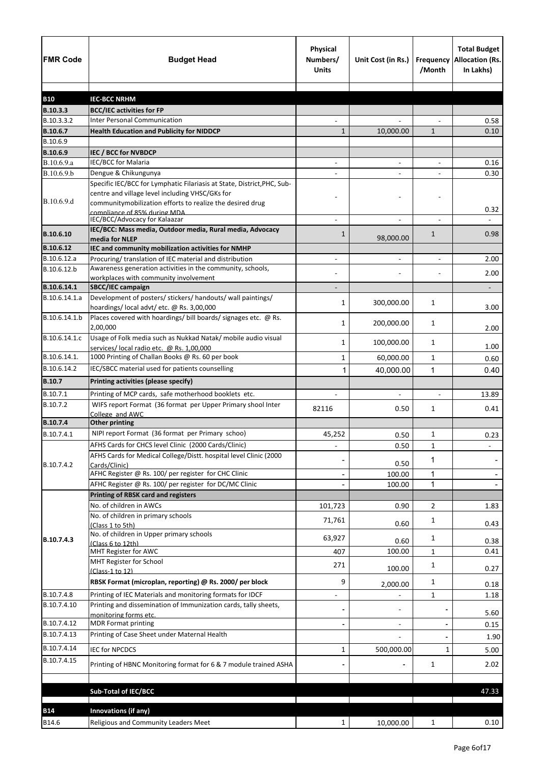| <b>FMR Code</b>            | <b>Budget Head</b>                                                                                                                                                                      | Physical<br>Numbers/<br><b>Units</b> | Unit Cost (in Rs.)       | Frequency<br>/Month | <b>Total Budget</b><br><b>Allocation (Rs.</b><br>In Lakhs) |
|----------------------------|-----------------------------------------------------------------------------------------------------------------------------------------------------------------------------------------|--------------------------------------|--------------------------|---------------------|------------------------------------------------------------|
|                            |                                                                                                                                                                                         |                                      |                          |                     |                                                            |
| <b>B10</b><br>B.10.3.3     | <b>IEC-BCC NRHM</b>                                                                                                                                                                     |                                      |                          |                     |                                                            |
| B.10.3.3.2                 | <b>BCC/IEC activities for FP</b><br><b>Inter Personal Communication</b>                                                                                                                 |                                      |                          |                     | 0.58                                                       |
| B.10.6.7                   | <b>Health Education and Publicity for NIDDCP</b>                                                                                                                                        | 1                                    | 10,000.00                | $\mathbf{1}$        | 0.10                                                       |
| B.10.6.9                   |                                                                                                                                                                                         |                                      |                          |                     |                                                            |
| B.10.6.9                   | IEC / BCC for NVBDCP                                                                                                                                                                    |                                      |                          |                     |                                                            |
| B.10.6.9.a                 | IEC/BCC for Malaria                                                                                                                                                                     | $\blacksquare$                       | $\blacksquare$           | $\blacksquare$      | 0.16                                                       |
| B.10.6.9.b                 | Dengue & Chikungunya                                                                                                                                                                    |                                      |                          |                     | 0.30                                                       |
| B.10.6.9.d                 | Specific IEC/BCC for Lymphatic Filariasis at State, District, PHC, Sub-<br>centre and village level including VHSC/GKs for<br>communitymobilization efforts to realize the desired drug |                                      |                          |                     | 0.32                                                       |
|                            | compliance of 85% during MDA.<br>IEC/BCC/Advocacy for Kalaazar                                                                                                                          |                                      |                          |                     |                                                            |
| B.10.6.10                  | IEC/BCC: Mass media, Outdoor media, Rural media, Advocacy<br>media for NLEP                                                                                                             | 1                                    | 98,000.00                | $\mathbf{1}$        | 0.98                                                       |
| B.10.6.12                  | IEC and community mobilization activities for NMHP                                                                                                                                      |                                      |                          |                     |                                                            |
| B.10.6.12.a                | Procuring/ translation of IEC material and distribution                                                                                                                                 |                                      |                          |                     | 2.00                                                       |
| B.10.6.12.b                | Awareness generation activities in the community, schools,                                                                                                                              |                                      |                          |                     | 2.00                                                       |
|                            | workplaces with community involvement                                                                                                                                                   |                                      |                          |                     |                                                            |
| B.10.6.14.1                | SBCC/IEC campaign                                                                                                                                                                       |                                      |                          |                     | -                                                          |
| B.10.6.14.1.a              | Development of posters/ stickers/ handouts/ wall paintings/<br>hoardings/local advt/etc. @ Rs. 3,00,000                                                                                 | 1                                    | 300,000.00               | 1                   | 3.00                                                       |
| B.10.6.14.1.b              | Places covered with hoardings/ bill boards/ signages etc. @ Rs.<br>2,00,000                                                                                                             | 1                                    | 200,000.00               | 1                   | 2.00                                                       |
| B.10.6.14.1.c              | Usage of Folk media such as Nukkad Natak/ mobile audio visual<br>services/ local radio etc. @ Rs. 1,00,000                                                                              | 1                                    | 100,000.00               | 1                   | 1.00                                                       |
| B.10.6.14.1.               | 1000 Printing of Challan Books @ Rs. 60 per book                                                                                                                                        | 1                                    | 60,000.00                | $\mathbf{1}$        | 0.60                                                       |
| B.10.6.14.2                | IEC/SBCC material used for patients counselling                                                                                                                                         | 1                                    | 40,000.00                | 1                   | 0.40                                                       |
| <b>B.10.7</b>              | Printing activities (please specify)                                                                                                                                                    |                                      |                          |                     |                                                            |
| B.10.7.1                   | Printing of MCP cards, safe motherhood booklets etc.                                                                                                                                    |                                      |                          |                     | 13.89                                                      |
| B.10.7.2                   | WIFS report Format (36 format per Upper Primary shool Inter<br>College and AWC                                                                                                          | 82116                                | 0.50                     | 1                   | 0.41                                                       |
| B.10.7.4                   | <b>Other printing</b>                                                                                                                                                                   |                                      |                          |                     |                                                            |
| B.10.7.4.1                 | NIPI report Format (36 format per Primary schoo)                                                                                                                                        | 45,252                               | 0.50                     | 1                   | 0.23                                                       |
|                            | AFHS Cards for CHCS level Clinic (2000 Cards/Clinic)                                                                                                                                    |                                      | 0.50                     | $\mathbf{1}$        |                                                            |
|                            | AFHS Cards for Medical College/Distt. hospital level Clinic (2000                                                                                                                       |                                      |                          | 1                   |                                                            |
| B.10.7.4.2                 | Cards/Clinic)                                                                                                                                                                           |                                      | 0.50                     |                     |                                                            |
|                            | AFHC Register @ Rs. 100/ per register for CHC Clinic                                                                                                                                    |                                      | 100.00                   | 1                   |                                                            |
|                            | AFHC Register @ Rs. 100/ per register for DC/MC Clinic                                                                                                                                  |                                      | 100.00                   | 1                   |                                                            |
|                            | <b>Printing of RBSK card and registers</b>                                                                                                                                              |                                      |                          |                     |                                                            |
|                            | No. of children in AWCs                                                                                                                                                                 | 101,723                              | 0.90                     | 2                   | 1.83                                                       |
|                            | No. of children in primary schools<br>(Class 1 to 5th)<br>No. of children in Upper primary schools                                                                                      | 71,761                               | 0.60                     | 1                   | 0.43                                                       |
| B.10.7.4.3                 | (Class 6 to 12th)                                                                                                                                                                       | 63,927                               | 0.60                     | 1                   | 0.38                                                       |
|                            | MHT Register for AWC                                                                                                                                                                    | 407                                  | 100.00                   | 1                   | 0.41                                                       |
|                            | MHT Register for School<br>(Class-1 to 12)                                                                                                                                              | 271                                  | 100.00                   | 1                   | 0.27                                                       |
|                            | RBSK Format (microplan, reporting) @ Rs. 2000/ per block                                                                                                                                | 9                                    | 2,000.00                 | $\mathbf{1}$        | 0.18                                                       |
| B.10.7.4.8<br>B.10.7.4.10  | Printing of IEC Materials and monitoring formats for IDCF<br>Printing and dissemination of Immunization cards, tally sheets,                                                            | $\overline{\phantom{a}}$             |                          | 1                   | 1.18                                                       |
|                            | monitoring forms etc.                                                                                                                                                                   |                                      |                          |                     | 5.60                                                       |
| B.10.7.4.12                | <b>MDR Format printing</b>                                                                                                                                                              |                                      | $\overline{\phantom{a}}$ |                     | 0.15                                                       |
| B.10.7.4.13                | Printing of Case Sheet under Maternal Health                                                                                                                                            |                                      |                          |                     | 1.90                                                       |
| B.10.7.4.14<br>B.10.7.4.15 | <b>IEC for NPCDCS</b>                                                                                                                                                                   | 1                                    | 500,000.00               | $\mathbf{1}$        | 5.00                                                       |
|                            | Printing of HBNC Monitoring format for 6 & 7 module trained ASHA                                                                                                                        |                                      |                          | $\mathbf{1}$        | 2.02                                                       |
|                            | <b>Sub-Total of IEC/BCC</b>                                                                                                                                                             |                                      |                          |                     | 47.33                                                      |
|                            |                                                                                                                                                                                         |                                      |                          |                     |                                                            |
| <b>B14</b>                 | Innovations (if any)                                                                                                                                                                    |                                      |                          |                     |                                                            |
| B14.6                      | Religious and Community Leaders Meet                                                                                                                                                    | $\mathbf{1}$                         | 10,000.00                | $\mathbf{1}$        | 0.10                                                       |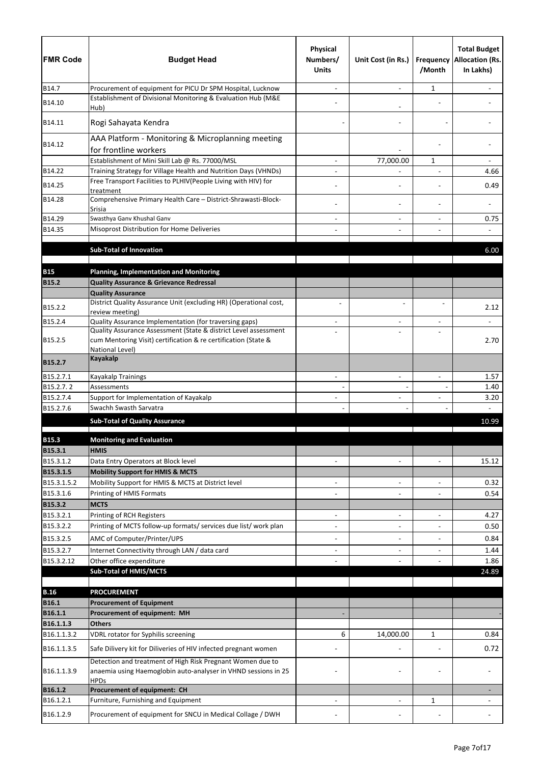| <b>FMR Code</b>             | <b>Budget Head</b>                                                                   | Physical<br>Numbers/<br><b>Units</b> | Unit Cost (in Rs.)       | Frequency<br>/Month | <b>Total Budget</b><br><b>Allocation (Rs.</b><br>In Lakhs) |
|-----------------------------|--------------------------------------------------------------------------------------|--------------------------------------|--------------------------|---------------------|------------------------------------------------------------|
| B14.7                       | Procurement of equipment for PICU Dr SPM Hospital, Lucknow                           |                                      |                          | 1                   |                                                            |
| B14.10                      | Establishment of Divisional Monitoring & Evaluation Hub (M&E<br>Hub)                 |                                      |                          |                     |                                                            |
| B14.11                      | Rogi Sahayata Kendra                                                                 |                                      |                          |                     |                                                            |
| B14.12                      | AAA Platform - Monitoring & Microplanning meeting<br>for frontline workers           |                                      |                          |                     |                                                            |
|                             | Establishment of Mini Skill Lab @ Rs. 77000/MSL                                      |                                      | 77,000.00                | 1                   |                                                            |
| B14.22                      | Training Strategy for Village Health and Nutrition Days (VHNDs)                      |                                      |                          |                     | 4.66                                                       |
| B14.25                      | Free Transport Facilities to PLHIV(People Living with HIV) for                       |                                      |                          |                     | 0.49                                                       |
| B14.28                      | treatment<br>Comprehensive Primary Health Care - District-Shrawasti-Block-<br>Srisia |                                      |                          |                     |                                                            |
| B14.29                      | Swasthya Ganv Khushal Ganv                                                           |                                      |                          |                     | 0.75                                                       |
| B14.35                      | Misoprost Distribution for Home Deliveries                                           |                                      |                          |                     |                                                            |
|                             |                                                                                      |                                      |                          |                     |                                                            |
|                             | <b>Sub-Total of Innovation</b>                                                       |                                      |                          |                     | 6.00                                                       |
| <b>B15</b>                  | <b>Planning, Implementation and Monitoring</b>                                       |                                      |                          |                     |                                                            |
| <b>B15.2</b>                | <b>Quality Assurance &amp; Grievance Redressal</b>                                   |                                      |                          |                     |                                                            |
|                             | <b>Quality Assurance</b>                                                             |                                      |                          |                     |                                                            |
| B15.2.2                     | District Quality Assurance Unit (excluding HR) (Operational cost,                    |                                      |                          |                     | 2.12                                                       |
| B15.2.4                     | review meeting)<br>Quality Assurance Implementation (for traversing gaps)            |                                      |                          |                     |                                                            |
|                             | Quality Assurance Assessment (State & district Level assessment                      |                                      |                          |                     |                                                            |
| B15.2.5                     | cum Mentoring Visit) certification & re certification (State &<br>National Level)    |                                      |                          |                     | 2.70                                                       |
| B15.2.7                     | <b>Kayakalp</b>                                                                      |                                      |                          |                     |                                                            |
| B15.2.7.1                   | <b>Kayakalp Trainings</b>                                                            | $\blacksquare$                       | $\blacksquare$           | $\overline{a}$      | 1.57                                                       |
| B15.2.7.2<br>B15.2.7.4      | Assessments<br>Support for Implementation of Kayakalp                                |                                      |                          |                     | 1.40<br>3.20                                               |
| B15.2.7.6                   | Swachh Swasth Sarvatra                                                               |                                      |                          |                     |                                                            |
|                             | <b>Sub-Total of Quality Assurance</b>                                                |                                      |                          |                     | 10.99                                                      |
|                             |                                                                                      |                                      |                          |                     |                                                            |
| <b>B15.3</b>                | <b>Monitoring and Evaluation</b>                                                     |                                      |                          |                     |                                                            |
| <b>B15.3.1</b><br>B15.3.1.2 | <b>HMIS</b>                                                                          |                                      |                          | $\overline{a}$      |                                                            |
| B15.3.1.5                   | Data Entry Operators at Block level<br><b>Mobility Support for HMIS &amp; MCTS</b>   | $\blacksquare$                       | $\blacksquare$           |                     | 15.12                                                      |
| B15.3.1.5.2                 | Mobility Support for HMIS & MCTS at District level                                   | $\overline{a}$                       | $\overline{\phantom{a}}$ | $\blacksquare$      | 0.32                                                       |
| B15.3.1.6                   | Printing of HMIS Formats                                                             |                                      | $\overline{\phantom{a}}$ |                     | 0.54                                                       |
| B15.3.2                     | <b>MCTS</b>                                                                          |                                      |                          |                     |                                                            |
| B15.3.2.1                   | Printing of RCH Registers                                                            | ÷                                    | $\blacksquare$           | $\overline{a}$      | 4.27                                                       |
| B15.3.2.2                   | Printing of MCTS follow-up formats/ services due list/ work plan                     |                                      | $\overline{\phantom{a}}$ |                     | 0.50                                                       |
| B15.3.2.5                   | AMC of Computer/Printer/UPS                                                          | $\overline{a}$                       | $\overline{\phantom{a}}$ | $\overline{a}$      | 0.84                                                       |
| B15.3.2.7<br>B15.3.2.12     | Internet Connectivity through LAN / data card<br>Other office expenditure            | ۰                                    | $\blacksquare$           | $\overline{a}$      | 1.44<br>1.86                                               |
|                             | <b>Sub-Total of HMIS/MCTS</b>                                                        |                                      |                          |                     | 24.89                                                      |
|                             |                                                                                      |                                      |                          |                     |                                                            |
| <b>B.16</b>                 | <b>PROCUREMENT</b>                                                                   |                                      |                          |                     |                                                            |
| <b>B16.1</b>                | <b>Procurement of Equipment</b>                                                      |                                      |                          |                     |                                                            |
| B16.1.1<br>B16.1.1.3        | Procurement of equipment: MH<br><b>Others</b>                                        |                                      |                          |                     |                                                            |
| B16.1.1.3.2                 | VDRL rotator for Syphilis screening                                                  | 6                                    | 14,000.00                | $\mathbf{1}$        | 0.84                                                       |
| B16.1.1.3.5                 | Safe Dilivery kit for Diliveries of HIV infected pregnant women                      |                                      |                          |                     | 0.72                                                       |
|                             | Detection and treatment of High Risk Pregnant Women due to                           |                                      |                          |                     |                                                            |
| B16.1.1.3.9                 | anaemia using Haemoglobin auto-analyser in VHND sessions in 25<br><b>HPDs</b>        |                                      |                          |                     |                                                            |
| B16.1.2                     | Procurement of equipment: CH                                                         |                                      |                          |                     |                                                            |
| B16.1.2.1                   | Furniture, Furnishing and Equipment                                                  |                                      | $\overline{\phantom{a}}$ | 1                   |                                                            |
| B16.1.2.9                   | Procurement of equipment for SNCU in Medical Collage / DWH                           |                                      |                          |                     |                                                            |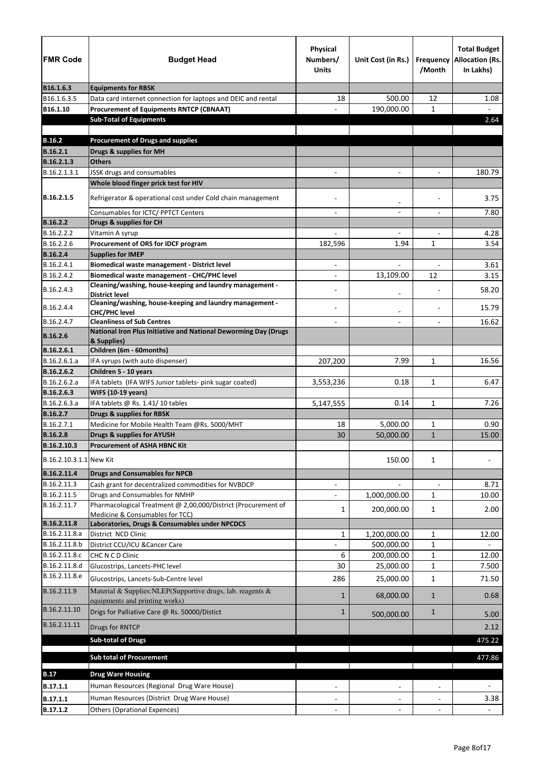| <b>FMR Code</b>         | <b>Budget Head</b>                                                                | <b>Physical</b><br>Numbers/<br><b>Units</b> | Unit Cost (in Rs.)       | Frequency<br>/Month      | <b>Total Budget</b><br><b>Allocation (Rs.</b><br>In Lakhs) |
|-------------------------|-----------------------------------------------------------------------------------|---------------------------------------------|--------------------------|--------------------------|------------------------------------------------------------|
| B16.1.6.3               | <b>Equipments for RBSK</b>                                                        |                                             |                          |                          |                                                            |
| B16.1.6.3.5             | Data card internet connection for laptops and DEIC and rental                     | 18                                          | 500.00                   | 12                       | 1.08                                                       |
| B16.1.10                | <b>Procurement of Equipments RNTCP (CBNAAT)</b>                                   |                                             | 190,000.00               | $\mathbf{1}$             |                                                            |
|                         | <b>Sub-Total of Equipments</b>                                                    |                                             |                          |                          | 2.64                                                       |
|                         |                                                                                   |                                             |                          |                          |                                                            |
| <b>B.16.2</b>           | <b>Procurement of Drugs and supplies</b>                                          |                                             |                          |                          |                                                            |
| <b>B.16.2.1</b>         | Drugs & supplies for MH                                                           |                                             |                          |                          |                                                            |
| B.16.2.1.3              | <b>Others</b>                                                                     |                                             |                          |                          |                                                            |
| B.16.2.1.3.1            | JSSK drugs and consumables                                                        |                                             |                          |                          | 180.79                                                     |
|                         | Whole blood finger prick test for HIV                                             |                                             |                          |                          |                                                            |
| B.16.2.1.5              | Refrigerator & operational cost under Cold chain management                       |                                             | $\overline{\phantom{a}}$ |                          | 3.75                                                       |
|                         | Consumables for ICTC/ PPTCT Centers                                               |                                             |                          |                          | 7.80                                                       |
| <b>B.16.2.2</b>         | Drugs & supplies for CH                                                           |                                             |                          |                          |                                                            |
| B.16.2.2.2              | Vitamin A syrup                                                                   |                                             | $\qquad \qquad -$        |                          | 4.28                                                       |
| B.16.2.2.6              | Procurement of ORS for IDCF program                                               | 182,596                                     | 1.94                     | $\mathbf{1}$             | 3.54                                                       |
| <b>B.16.2.4</b>         | <b>Supplies for IMEP</b>                                                          |                                             |                          |                          |                                                            |
| B.16.2.4.1              | Biomedical waste management - District level                                      | $\overline{\phantom{a}}$                    | $\overline{\phantom{0}}$ | $\overline{\phantom{a}}$ | 3.61                                                       |
| B.16.2.4.2              | Biomedical waste management - CHC/PHC level                                       |                                             | 13,109.00                | 12                       | 3.15                                                       |
| B.16.2.4.3              | Cleaning/washing, house-keeping and laundry management -<br><b>District level</b> |                                             |                          |                          | 58.20                                                      |
| B.16.2.4.4              | Cleaning/washing, house-keeping and laundry management -<br><b>CHC/PHC level</b>  |                                             |                          |                          | 15.79                                                      |
| B.16.2.4.7              | <b>Cleanliness of Sub Centres</b>                                                 |                                             |                          |                          | 16.62                                                      |
| <b>B.16.2.6</b>         | National Iron Plus Initiative and National Deworming Day (Drugs<br>& Supplies)    |                                             |                          |                          |                                                            |
| B.16.2.6.1              | Children (6m - 60months)                                                          |                                             |                          |                          |                                                            |
| B.16.2.6.1.a            | IFA syrups (with auto dispenser)                                                  | 207,200                                     | 7.99                     | $\mathbf{1}$             | 16.56                                                      |
| B.16.2.6.2              | Children 5 - 10 years                                                             |                                             |                          |                          |                                                            |
| B.16.2.6.2.a            | IFA tablets (IFA WIFS Junior tablets- pink sugar coated)                          | 3,553,236                                   | 0.18                     | $\mathbf{1}$             | 6.47                                                       |
| B.16.2.6.3              | <b>WIFS (10-19 years)</b>                                                         |                                             |                          |                          |                                                            |
| B.16.2.6.3.a            | IFA tablets @ Rs. 1.41/10 tables                                                  | 5,147,555                                   | 0.14                     | 1                        | 7.26                                                       |
| <b>B.16.2.7</b>         | <b>Drugs &amp; supplies for RBSK</b>                                              |                                             |                          |                          |                                                            |
| B.16.2.7.1              | Medicine for Mobile Health Team @Rs. 5000/MHT                                     | 18                                          | 5,000.00                 | 1                        | 0.90                                                       |
| <b>B.16.2.8</b>         | <b>Drugs &amp; supplies for AYUSH</b>                                             | 30                                          | 50,000.00                | $\mathbf{1}$             | 15.00                                                      |
| B.16.2.10.3             | <b>Procurement of ASHA HBNC Kit</b>                                               |                                             |                          |                          |                                                            |
| B.16.2.10.3.1.1 New Kit |                                                                                   |                                             | 150.00                   | $\mathbf{1}$             |                                                            |
| B.16.2.11.4             | <b>Drugs and Consumables for NPCB</b>                                             |                                             |                          |                          |                                                            |
| B.16.2.11.3             | Cash grant for decentralized commodities for NVBDCP                               |                                             |                          | $\overline{a}$           | 8.71                                                       |
| B.16.2.11.5             | Drugs and Consumables for NMHP                                                    |                                             | 1,000,000.00             | $\mathbf{1}$             | 10.00                                                      |
| B.16.2.11.7             | Pharmacological Treatment @ 2,00,000/District (Procurement of                     | 1                                           | 200,000.00               | $\mathbf{1}$             | 2.00                                                       |
| B.16.2.11.8             | Medicine & Consumables for TCC)<br>Laboratories, Drugs & Consumables under NPCDCS |                                             |                          |                          |                                                            |
| B.16.2.11.8.a           | District NCD Clinic                                                               | $\mathbf{1}$                                | 1,200,000.00             | $\mathbf{1}$             | 12.00                                                      |
| B.16.2.11.8.b           | District CCU/ICU & Cancer Care                                                    |                                             | 500,000.00               | $\mathbf{1}$             |                                                            |
| B.16.2.11.8.c           | CHC N C D Clinic                                                                  | 6                                           | 200,000.00               | 1                        | 12.00                                                      |
| B.16.2.11.8.d           | Glucostrips, Lancets-PHC level                                                    | 30                                          | 25,000.00                | 1                        | 7.500                                                      |
| B.16.2.11.8.e           | Glucostrips, Lancets-Sub-Centre level                                             | 286                                         | 25,000.00                | $\mathbf{1}$             | 71.50                                                      |
| B.16.2.11.9             | Material & Supplies: NLEP(Supportive drugs, lab. reagents &                       | 1                                           | 68,000.00                | $\mathbf{1}$             | 0.68                                                       |
| B.16.2.11.10            | equipments and printing works)<br>Drigs for Palliative Care @ Rs. 50000/Distict   | $\mathbf{1}$                                |                          | $\mathbf{1}$             |                                                            |
| B.16.2.11.11            | Drugs for RNTCP                                                                   |                                             | 500,000.00               |                          | 5.00<br>2.12                                               |
|                         | <b>Sub-total of Drugs</b>                                                         |                                             |                          |                          | 475.22                                                     |
|                         | <b>Sub total of Procurement</b>                                                   |                                             |                          |                          | 477.86                                                     |
|                         |                                                                                   |                                             |                          |                          |                                                            |
| <b>B.17</b>             | <b>Drug Ware Housing</b>                                                          |                                             |                          |                          |                                                            |
| B.17.1.1                | Human Resources (Regional Drug Ware House)                                        |                                             |                          |                          |                                                            |
| B.17.1.1                | Human Resources (District Drug Ware House)                                        |                                             |                          |                          | 3.38                                                       |
| B.17.1.2                | <b>Others (Oprational Expences)</b>                                               |                                             |                          |                          |                                                            |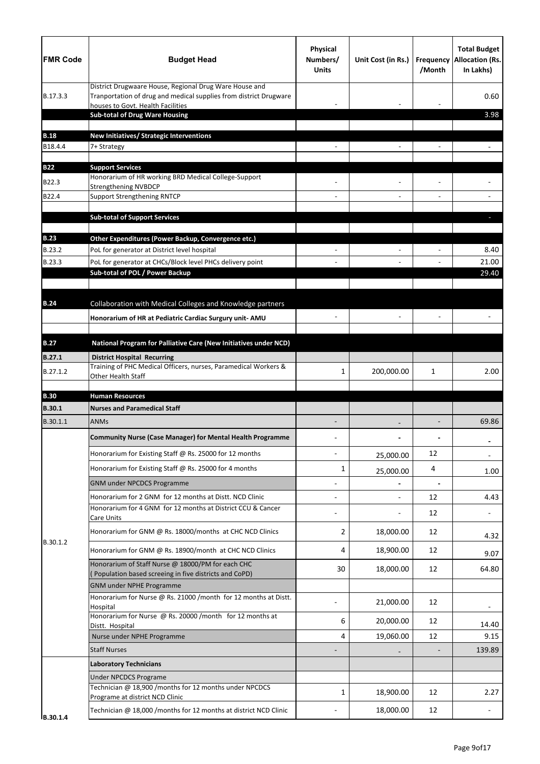| <b>FMR Code</b> | <b>Budget Head</b>                                                                                                                                               | Physical<br>Numbers/<br><b>Units</b> | Unit Cost (in Rs.) | <b>Frequency</b><br>/Month | <b>Total Budget</b><br><b>Allocation (Rs.</b><br>In Lakhs) |
|-----------------|------------------------------------------------------------------------------------------------------------------------------------------------------------------|--------------------------------------|--------------------|----------------------------|------------------------------------------------------------|
| B.17.3.3        | District Drugwaare House, Regional Drug Ware House and<br>Tranportation of drug and medical supplies from district Drugware<br>houses to Govt. Health Facilities |                                      |                    |                            | 0.60                                                       |
|                 | <b>Sub-total of Drug Ware Housing</b>                                                                                                                            |                                      |                    |                            | 3.98                                                       |
| <b>B.18</b>     | New Initiatives/ Strategic Interventions                                                                                                                         |                                      |                    |                            |                                                            |
| B18.4.4         | 7+ Strategy                                                                                                                                                      |                                      |                    |                            |                                                            |
|                 |                                                                                                                                                                  |                                      |                    |                            |                                                            |
| <b>B22</b>      | <b>Support Services</b><br>Honorarium of HR working BRD Medical College-Support                                                                                  |                                      |                    |                            |                                                            |
| B22.3           | <b>Strengthening NVBDCP</b>                                                                                                                                      |                                      |                    |                            |                                                            |
| B22.4           | <b>Support Strengthening RNTCP</b>                                                                                                                               |                                      |                    |                            |                                                            |
|                 | <b>Sub-total of Support Services</b>                                                                                                                             |                                      |                    |                            |                                                            |
| <b>B.23</b>     | Other Expenditures (Power Backup, Convergence etc.)                                                                                                              |                                      |                    |                            |                                                            |
| B.23.2          | PoL for generator at District level hospital                                                                                                                     |                                      |                    |                            | 8.40                                                       |
| B.23.3          | PoL for generator at CHCs/Block level PHCs delivery point                                                                                                        |                                      |                    |                            | 21.00                                                      |
|                 | Sub-total of POL / Power Backup                                                                                                                                  |                                      |                    |                            | 29.40                                                      |
|                 |                                                                                                                                                                  |                                      |                    |                            |                                                            |
| <b>B.24</b>     | Collaboration with Medical Colleges and Knowledge partners                                                                                                       |                                      |                    |                            |                                                            |
|                 | Honorarium of HR at Pediatric Cardiac Surgury unit- AMU                                                                                                          |                                      |                    |                            |                                                            |
| <b>B.27</b>     | National Program for Palliative Care (New Initiatives under NCD)                                                                                                 |                                      |                    |                            |                                                            |
|                 |                                                                                                                                                                  |                                      |                    |                            |                                                            |
| <b>B.27.1</b>   | <b>District Hospital Recurring</b><br>Training of PHC Medical Officers, nurses, Paramedical Workers &                                                            |                                      |                    |                            |                                                            |
| B.27.1.2        | Other Health Staff                                                                                                                                               | 1                                    | 200,000.00         | 1                          | 2.00                                                       |
| <b>B.30</b>     | <b>Human Resources</b>                                                                                                                                           |                                      |                    |                            |                                                            |
| <b>B.30.1</b>   | <b>Nurses and Paramedical Staff</b>                                                                                                                              |                                      |                    |                            |                                                            |
| B.30.1.1        | <b>ANMs</b>                                                                                                                                                      |                                      |                    |                            | 69.86                                                      |
|                 | <b>Community Nurse (Case Manager) for Mental Health Programme</b>                                                                                                |                                      |                    |                            |                                                            |
|                 | Honorarium for Existing Staff @ Rs. 25000 for 12 months                                                                                                          |                                      | 25,000.00          | 12                         |                                                            |
|                 | Honorarium for Existing Staff @ Rs. 25000 for 4 months                                                                                                           | 1                                    | 25,000.00          | 4                          | 1.00                                                       |
|                 | <b>GNM under NPCDCS Programme</b>                                                                                                                                |                                      |                    |                            |                                                            |
|                 | Honorarium for 2 GNM for 12 months at Distt. NCD Clinic                                                                                                          |                                      |                    | 12                         | 4.43                                                       |
|                 | Honorarium for 4 GNM for 12 months at District CCU & Cancer<br>Care Units                                                                                        |                                      |                    | 12                         |                                                            |
|                 | Honorarium for GNM @ Rs. 18000/months at CHC NCD Clinics                                                                                                         | 2                                    | 18,000.00          | 12                         | 4.32                                                       |
| B.30.1.2        | Honorarium for GNM @ Rs. 18900/month at CHC NCD Clinics                                                                                                          | 4                                    | 18,900.00          | 12                         | 9.07                                                       |
|                 | Honorarium of Staff Nurse @ 18000/PM for each CHC<br>(Population based screeing in five districts and CoPD)                                                      | 30                                   | 18,000.00          | 12                         | 64.80                                                      |
|                 | <b>GNM under NPHE Programme</b>                                                                                                                                  |                                      |                    |                            |                                                            |
|                 | Honorarium for Nurse @ Rs. 21000 /month for 12 months at Distt.<br>Hospital                                                                                      |                                      | 21,000.00          | 12                         |                                                            |
|                 | Honorarium for Nurse @ Rs. 20000 /month for 12 months at                                                                                                         | 6                                    | 20,000.00          | 12                         |                                                            |
|                 | Distt. Hospital                                                                                                                                                  |                                      |                    |                            | 14.40                                                      |
|                 | Nurse under NPHE Programme                                                                                                                                       | 4                                    | 19,060.00          | 12                         | 9.15                                                       |
|                 | <b>Staff Nurses</b>                                                                                                                                              |                                      |                    |                            | 139.89                                                     |
|                 | <b>Laboratory Technicians</b>                                                                                                                                    |                                      |                    |                            |                                                            |
|                 | <b>Under NPCDCS Programe</b><br>Technician @ 18,900 /months for 12 months under NPCDCS                                                                           |                                      |                    |                            |                                                            |
|                 | Programe at district NCD Clinic                                                                                                                                  | 1                                    | 18,900.00          | 12                         | 2.27                                                       |
| B.30.1.4        | Technician @ 18,000 /months for 12 months at district NCD Clinic                                                                                                 |                                      | 18,000.00          | 12                         |                                                            |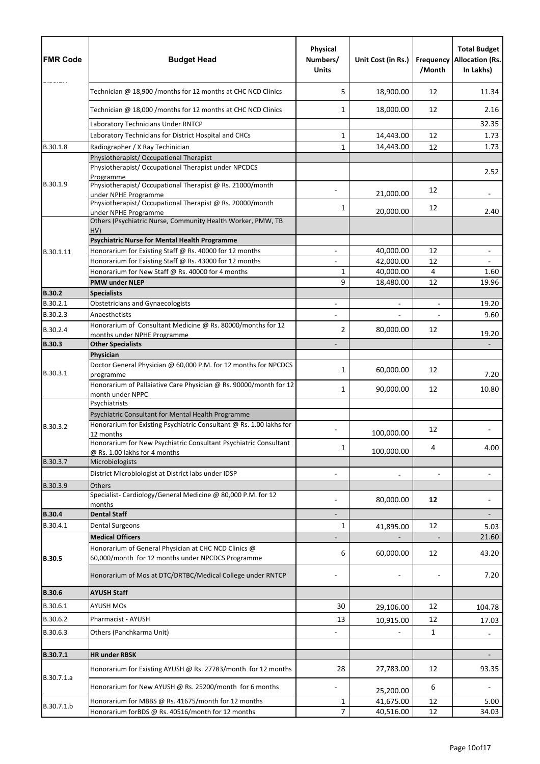| <b>FMR Code</b>      | <b>Budget Head</b>                                                                                                        | Physical<br>Numbers/<br><b>Units</b> | Unit Cost (in Rs.) | <b>Frequency</b><br>/Month | <b>Total Budget</b><br><b>Allocation (Rs.</b><br>In Lakhs) |
|----------------------|---------------------------------------------------------------------------------------------------------------------------|--------------------------------------|--------------------|----------------------------|------------------------------------------------------------|
|                      | Technician @ 18,900 /months for 12 months at CHC NCD Clinics                                                              | 5                                    | 18,900.00          | 12                         | 11.34                                                      |
|                      | Technician @ 18,000 /months for 12 months at CHC NCD Clinics                                                              | 1                                    | 18,000.00          | 12                         | 2.16                                                       |
|                      | Laboratory Technicians Under RNTCP                                                                                        |                                      |                    |                            | 32.35                                                      |
|                      | Laboratory Technicians for District Hospital and CHCs                                                                     | 1                                    | 14,443.00          | 12                         | 1.73                                                       |
| B.30.1.8             | Radiographer / X Ray Techinician                                                                                          | 1                                    | 14,443.00          | 12                         | 1.73                                                       |
|                      | Physiotherapist/ Occupational Therapist                                                                                   |                                      |                    |                            |                                                            |
|                      | Physiotherapist/ Occupational Therapist under NPCDCS<br>Programme                                                         |                                      |                    |                            | 2.52                                                       |
| B.30.1.9             | Physiotherapist/ Occupational Therapist @ Rs. 21000/month<br>under NPHE Programme                                         |                                      | 21,000.00          | 12                         | $\overline{\phantom{a}}$                                   |
|                      | Physiotherapist/ Occupational Therapist @ Rs. 20000/month<br>under NPHE Programme                                         | 1                                    | 20,000.00          | 12                         | 2.40                                                       |
|                      | Others (Psychiatric Nurse, Community Health Worker, PMW, TB<br>HV)                                                        |                                      |                    |                            |                                                            |
|                      | <b>Psychiatric Nurse for Mental Health Programme</b>                                                                      |                                      |                    |                            |                                                            |
| B.30.1.11            | Honorarium for Existing Staff @ Rs. 40000 for 12 months                                                                   |                                      | 40,000.00          | 12                         | $\qquad \qquad \blacksquare$                               |
|                      | Honorarium for Existing Staff @ Rs. 43000 for 12 months                                                                   |                                      | 42,000.00          | 12                         |                                                            |
|                      | Honorarium for New Staff @ Rs. 40000 for 4 months                                                                         | 1                                    | 40,000.00          | $\overline{4}$             | 1.60                                                       |
|                      | <b>PMW under NLEP</b>                                                                                                     | 9                                    | 18,480.00          | 12                         | 19.96                                                      |
| <b>B.30.2</b>        | <b>Specialists</b>                                                                                                        |                                      |                    |                            |                                                            |
| B.30.2.1             | <b>Obstetricians and Gynaecologists</b>                                                                                   |                                      |                    | $\overline{\phantom{a}}$   | 19.20                                                      |
| B.30.2.3<br>B.30.2.4 | Anaesthetists<br>Honorarium of Consultant Medicine @ Rs. 80000/months for 12                                              | 2                                    | 80,000.00          | 12                         | 9.60                                                       |
|                      | months under NPHE Programme                                                                                               |                                      |                    |                            | 19.20                                                      |
| <b>B.30.3</b>        | <b>Other Specialists</b>                                                                                                  |                                      |                    |                            |                                                            |
|                      | Physician<br>Doctor General Physician @ 60,000 P.M. for 12 months for NPCDCS                                              |                                      |                    |                            |                                                            |
| B.30.3.1             | programme                                                                                                                 | 1                                    | 60,000.00          | 12                         | 7.20                                                       |
|                      | Honorarium of Pallaiative Care Physician @ Rs. 90000/month for 12<br>month under NPPC                                     | 1                                    | 90,000.00          | 12                         | 10.80                                                      |
|                      | Psychiatrists                                                                                                             |                                      |                    |                            |                                                            |
| B.30.3.2             | Psychiatric Consultant for Mental Health Programme<br>Honorarium for Existing Psychiatric Consultant @ Rs. 1.00 lakhs for |                                      |                    |                            |                                                            |
|                      | 12 months<br>Honorarium for New Psychiatric Consultant Psychiatric Consultant                                             |                                      | 100,000.00         | 12                         |                                                            |
|                      | @ Rs. 1.00 lakhs for 4 months                                                                                             | 1                                    | 100,000.00         | 4                          | 4.00                                                       |
| B.30.3.7             | Microbiologists                                                                                                           |                                      |                    |                            |                                                            |
|                      | District Microbiologist at District labs under IDSP                                                                       |                                      |                    |                            |                                                            |
| B.30.3.9             | Others                                                                                                                    |                                      |                    |                            |                                                            |
|                      | Specialist-Cardiology/General Medicine @ 80,000 P.M. for 12<br>months                                                     |                                      | 80,000.00          | 12                         |                                                            |
| <b>B.30.4</b>        | <b>Dental Staff</b>                                                                                                       |                                      |                    |                            |                                                            |
| B.30.4.1             | <b>Dental Surgeons</b>                                                                                                    | 1                                    | 41,895.00          | 12                         | 5.03                                                       |
|                      | <b>Medical Officers</b>                                                                                                   |                                      |                    |                            | 21.60                                                      |
| <b>B.30.5</b>        | Honorarium of General Physician at CHC NCD Clinics @<br>60,000/month for 12 months under NPCDCS Programme                 | 6                                    | 60,000.00          | 12                         | 43.20                                                      |
|                      | Honorarium of Mos at DTC/DRTBC/Medical College under RNTCP                                                                |                                      |                    |                            | 7.20                                                       |
| <b>B.30.6</b>        | <b>AYUSH Staff</b>                                                                                                        |                                      |                    |                            |                                                            |
| B.30.6.1             | <b>AYUSH MOs</b>                                                                                                          | 30                                   | 29,106.00          | 12                         | 104.78                                                     |
| B.30.6.2             | Pharmacist - AYUSH                                                                                                        | 13                                   | 10,915.00          | 12                         | 17.03                                                      |
| B.30.6.3             | Others (Panchkarma Unit)                                                                                                  |                                      |                    | 1                          |                                                            |
| B.30.7.1             | <b>HR under RBSK</b>                                                                                                      |                                      |                    |                            |                                                            |
|                      |                                                                                                                           |                                      |                    |                            |                                                            |
| B.30.7.1.a           | Honorarium for Existing AYUSH @ Rs. 27783/month for 12 months                                                             | 28                                   | 27,783.00          | 12                         | 93.35                                                      |
|                      | Honorarium for New AYUSH @ Rs. 25200/month for 6 months                                                                   |                                      | 25,200.00          | 6                          |                                                            |
| B.30.7.1.b           | Honorarium for MBBS @ Rs. 41675/month for 12 months                                                                       | $\mathbf{1}$                         | 41,675.00          | 12                         | 5.00                                                       |
|                      | Honorarium forBDS @ Rs. 40516/month for 12 months                                                                         | $\overline{7}$                       | 40,516.00          | 12                         | 34.03                                                      |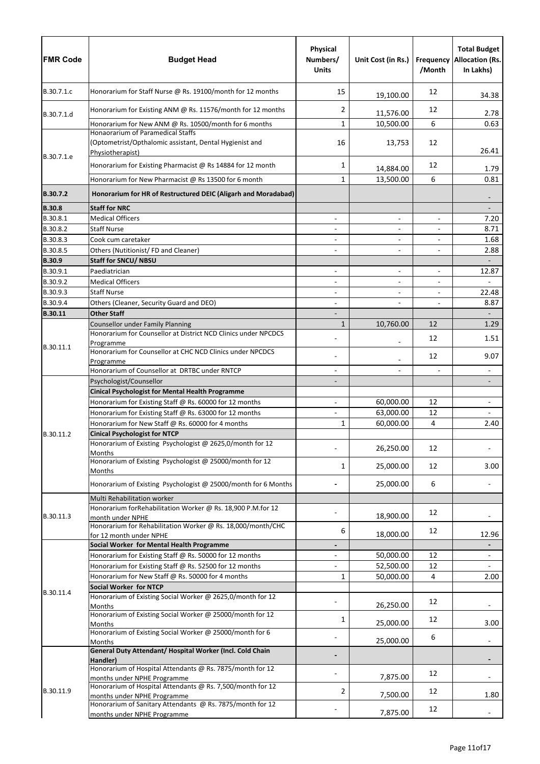| <b>FMR Code</b>      | <b>Budget Head</b>                                                                                               | Physical<br>Numbers/<br><b>Units</b> | Unit Cost (in Rs.)       | Frequency<br>/Month      | <b>Total Budget</b><br><b>Allocation (Rs.</b><br>In Lakhs) |
|----------------------|------------------------------------------------------------------------------------------------------------------|--------------------------------------|--------------------------|--------------------------|------------------------------------------------------------|
| B.30.7.1.c           | Honorarium for Staff Nurse @ Rs. 19100/month for 12 months                                                       | 15                                   | 19,100.00                | 12                       | 34.38                                                      |
| B.30.7.1.d           | Honorarium for Existing ANM @ Rs. 11576/month for 12 months                                                      | $\overline{2}$                       | 11,576.00                | 12                       | 2.78                                                       |
|                      | Honorarium for New ANM @ Rs. 10500/month for 6 months                                                            | $\mathbf{1}$                         | 10,500.00                | 6                        | 0.63                                                       |
| B.30.7.1.e           | Honaorarium of Paramedical Staffs<br>(Optometrist/Opthalomic assistant, Dental Hygienist and<br>Physiotherapist) | 16                                   | 13,753                   | 12                       | 26.41                                                      |
|                      | Honorarium for Existing Pharmacist @ Rs 14884 for 12 month                                                       | 1                                    | 14,884.00                | 12                       | 1.79                                                       |
|                      | Honorarium for New Pharmacist @ Rs 13500 for 6 month                                                             | $\mathbf{1}$                         | 13,500.00                | 6                        | 0.81                                                       |
| <b>B.30.7.2</b>      | Honorarium for HR of Restructured DEIC (Aligarh and Moradabad)                                                   |                                      |                          |                          |                                                            |
| <b>B.30.8</b>        | <b>Staff for NRC</b>                                                                                             |                                      |                          |                          |                                                            |
| B.30.8.1             | <b>Medical Officers</b>                                                                                          |                                      | $\overline{\phantom{a}}$ | $\overline{\phantom{a}}$ | 7.20                                                       |
| B.30.8.2             | <b>Staff Nurse</b>                                                                                               | $\overline{\phantom{a}}$             | $\overline{\phantom{0}}$ | $\overline{\phantom{a}}$ | 8.71                                                       |
| B.30.8.3             | Cook cum caretaker                                                                                               |                                      |                          |                          | 1.68                                                       |
| B.30.8.5             | Others (Nutitionist/FD and Cleaner)                                                                              |                                      |                          |                          | 2.88                                                       |
| <b>B.30.9</b>        | <b>Staff for SNCU/ NBSU</b>                                                                                      |                                      |                          |                          | $\overline{\phantom{a}}$                                   |
| B.30.9.1<br>B.30.9.2 | Paediatrician<br><b>Medical Officers</b>                                                                         |                                      | $\overline{\phantom{0}}$ | $\overline{\phantom{a}}$ | 12.87                                                      |
| B.30.9.3             | <b>Staff Nurse</b>                                                                                               |                                      | $\overline{\phantom{0}}$ |                          | 22.48                                                      |
| B.30.9.4             | Others (Cleaner, Security Guard and DEO)                                                                         | $\blacksquare$                       |                          | $\overline{\phantom{a}}$ | 8.87                                                       |
| B.30.11              | <b>Other Staff</b>                                                                                               |                                      |                          |                          | $\overline{\phantom{a}}$                                   |
|                      | <b>Counsellor under Family Planning</b>                                                                          | $\mathbf{1}$                         | 10,760.00                | 12                       | 1.29                                                       |
|                      | Honorarium for Counsellor at District NCD Clinics under NPCDCS<br>Programme                                      |                                      |                          | 12                       | 1.51                                                       |
| B.30.11.1            | Honorarium for Counsellor at CHC NCD Clinics under NPCDCS                                                        |                                      |                          | 12                       | 9.07                                                       |
|                      | Programme<br>Honorarium of Counsellor at DRTBC under RNTCP                                                       |                                      |                          |                          |                                                            |
|                      | Psychologist/Counsellor                                                                                          |                                      |                          |                          |                                                            |
|                      | <b>Cinical Psychologist for Mental Health Programme</b>                                                          |                                      |                          |                          |                                                            |
|                      | Honorarium for Existing Staff @ Rs. 60000 for 12 months                                                          |                                      | 60,000.00                | 12                       |                                                            |
|                      | Honorarium for Existing Staff @ Rs. 63000 for 12 months                                                          |                                      | 63,000.00                | 12                       |                                                            |
|                      | Honorarium for New Staff @ Rs. 60000 for 4 months                                                                | 1                                    | 60,000.00                | $\overline{4}$           | 2.40                                                       |
| B.30.11.2            | <b>Cinical Psychologist for NTCP</b>                                                                             |                                      |                          |                          |                                                            |
|                      | Honorarium of Existing Psychologist @ 2625,0/month for 12<br>Months                                              |                                      | 26,250.00                | 12                       |                                                            |
|                      | Honorarium of Existing Psychologist @ 25000/month for 12<br>Months                                               | 1                                    | 25,000.00                | 12                       | 3.00                                                       |
|                      | Honorarium of Existing Psychologist @ 25000/month for 6 Months                                                   |                                      | 25,000.00                | 6                        |                                                            |
|                      | Multi Rehabilitation worker                                                                                      |                                      |                          |                          |                                                            |
| B.30.11.3            | Honorarium for Rehabilitation Worker @ Rs. 18,900 P.M.for 12<br>month under NPHE                                 |                                      | 18,900.00                | 12                       |                                                            |
|                      | Honorarium for Rehabilitation Worker @ Rs. 18,000/month/CHC<br>for 12 month under NPHE                           | 6                                    | 18,000.00                | 12                       | 12.96                                                      |
|                      | Social Worker for Mental Health Programme                                                                        |                                      |                          |                          |                                                            |
|                      | Honorarium for Existing Staff @ Rs. 50000 for 12 months                                                          |                                      | 50,000.00                | 12                       |                                                            |
|                      | Honorarium for Existing Staff @ Rs. 52500 for 12 months                                                          |                                      | 52,500.00                | 12                       |                                                            |
|                      | Honorarium for New Staff @ Rs. 50000 for 4 months                                                                | 1                                    | 50,000.00                | 4                        | 2.00                                                       |
| B.30.11.4            | <b>Social Worker for NTCP</b><br>Honorarium of Existing Social Worker @ 2625,0/month for 12                      |                                      |                          | 12                       |                                                            |
|                      | Months<br>Honorarium of Existing Social Worker @ 25000/month for 12                                              |                                      | 26,250.00                |                          |                                                            |
|                      | Months<br>Honorarium of Existing Social Worker @ 25000/month for 6                                               | 1                                    | 25,000.00                | 12                       | 3.00                                                       |
|                      | <b>Months</b><br>General Duty Attendant/ Hospital Worker (Incl. Cold Chain                                       |                                      | 25,000.00                | 6                        |                                                            |
|                      | Handler)                                                                                                         |                                      |                          |                          |                                                            |
|                      | Honorarium of Hospital Attendants @ Rs. 7875/month for 12<br>months under NPHE Programme                         |                                      | 7,875.00                 | 12                       |                                                            |
| B.30.11.9            | Honorarium of Hospital Attendants @ Rs. 7,500/month for 12<br>months under NPHE Programme                        | 2                                    | 7,500.00                 | 12                       | 1.80                                                       |
|                      | Honorarium of Sanitary Attendants @ Rs. 7875/month for 12<br>months under NPHE Programme                         |                                      | 7,875.00                 | 12                       |                                                            |
|                      |                                                                                                                  |                                      |                          |                          |                                                            |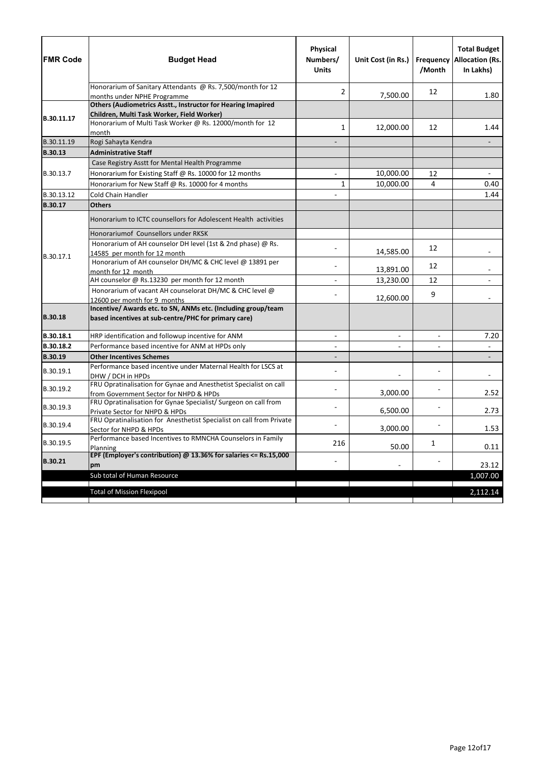| <b>FMR Code</b> | <b>Budget Head</b>                                                                                                    | Physical<br>Numbers/<br><b>Units</b> | Unit Cost (in Rs.)       | /Month                   | <b>Total Budget</b><br><b>Frequency Allocation (Rs.</b><br>In Lakhs) |
|-----------------|-----------------------------------------------------------------------------------------------------------------------|--------------------------------------|--------------------------|--------------------------|----------------------------------------------------------------------|
|                 | Honorarium of Sanitary Attendants @ Rs. 7,500/month for 12<br>months under NPHE Programme                             | 2                                    | 7,500.00                 | 12                       | 1.80                                                                 |
|                 | Others (Audiometrics Asstt., Instructor for Hearing Imapired                                                          |                                      |                          |                          |                                                                      |
|                 | Children, Multi Task Worker, Field Worker)                                                                            |                                      |                          |                          |                                                                      |
| B.30.11.17      | Honorarium of Multi Task Worker @ Rs. 12000/month for 12<br>month                                                     | 1                                    | 12,000.00                | 12                       | 1.44                                                                 |
| B.30.11.19      | Rogi Sahayta Kendra                                                                                                   |                                      |                          |                          |                                                                      |
| <b>B.30.13</b>  | <b>Administrative Staff</b>                                                                                           |                                      |                          |                          |                                                                      |
|                 | Case Registry Asstt for Mental Health Programme                                                                       |                                      |                          |                          |                                                                      |
| B.30.13.7       | Honorarium for Existing Staff @ Rs. 10000 for 12 months                                                               |                                      | 10,000.00                | 12                       |                                                                      |
|                 | Honorarium for New Staff @ Rs. 10000 for 4 months                                                                     | 1                                    | 10,000.00                | 4                        | 0.40                                                                 |
| B.30.13.12      | <b>Cold Chain Handler</b>                                                                                             |                                      |                          |                          | 1.44                                                                 |
| B.30.17         | <b>Others</b>                                                                                                         |                                      |                          |                          |                                                                      |
|                 | Honorarium to ICTC counsellors for Adolescent Health activities                                                       |                                      |                          |                          |                                                                      |
|                 | Honorariumof Counsellors under RKSK                                                                                   |                                      |                          |                          |                                                                      |
| B.30.17.1       | Honorarium of AH counselor DH level (1st & 2nd phase) @ Rs.                                                           |                                      |                          | 12                       |                                                                      |
|                 | 14585 per month for 12 month                                                                                          |                                      | 14,585.00                |                          |                                                                      |
|                 | Honorarium of AH counselor DH/MC & CHC level @ 13891 per                                                              |                                      | 13,891.00                | 12                       |                                                                      |
|                 | month for 12 month<br>AH counselor @ Rs.13230 per month for 12 month                                                  |                                      | 13,230.00                | 12                       |                                                                      |
|                 | Honorarium of vacant AH counselorat DH/MC & CHC level @                                                               |                                      |                          |                          |                                                                      |
|                 | 12600 per month for 9 months                                                                                          |                                      | 12,600.00                | 9                        |                                                                      |
| <b>B.30.18</b>  | Incentive/ Awards etc. to SN, ANMs etc. (Including group/team<br>based incentives at sub-centre/PHC for primary care) |                                      |                          |                          |                                                                      |
| B.30.18.1       | HRP identification and followup incentive for ANM                                                                     | $\overline{\phantom{a}}$             | $\overline{\phantom{a}}$ | $\overline{\phantom{a}}$ | 7.20                                                                 |
| B.30.18.2       | Performance based incentive for ANM at HPDs only                                                                      |                                      |                          |                          |                                                                      |
| <b>B.30.19</b>  | <b>Other Incentives Schemes</b>                                                                                       |                                      |                          |                          |                                                                      |
| B.30.19.1       | Performance based incentive under Maternal Health for LSCS at<br>DHW / DCH in HPDs                                    |                                      |                          |                          |                                                                      |
| B.30.19.2       | FRU Opratinalisation for Gynae and Anesthetist Specialist on call<br>from Government Sector for NHPD & HPDs           |                                      | 3,000.00                 |                          | 2.52                                                                 |
| B.30.19.3       | FRU Opratinalisation for Gynae Specialist/Surgeon on call from<br>Private Sector for NHPD & HPDs                      |                                      | 6,500.00                 |                          | 2.73                                                                 |
| B.30.19.4       | FRU Opratinalisation for Anesthetist Specialist on call from Private<br>Sector for NHPD & HPDs                        |                                      | 3,000.00                 |                          | 1.53                                                                 |
| B.30.19.5       | Performance based Incentives to RMNCHA Counselors in Family<br>Planning                                               | 216                                  | 50.00                    | 1                        | 0.11                                                                 |
| <b>B.30.21</b>  | EPF (Employer's contribution) $@$ 13.36% for salaries <= Rs.15,000<br>pm                                              |                                      |                          |                          | 23.12                                                                |
|                 | Sub total of Human Resource                                                                                           |                                      |                          |                          | 1,007.00                                                             |
|                 | <b>Total of Mission Flexipool</b>                                                                                     |                                      |                          |                          | 2,112.14                                                             |
|                 |                                                                                                                       |                                      |                          |                          |                                                                      |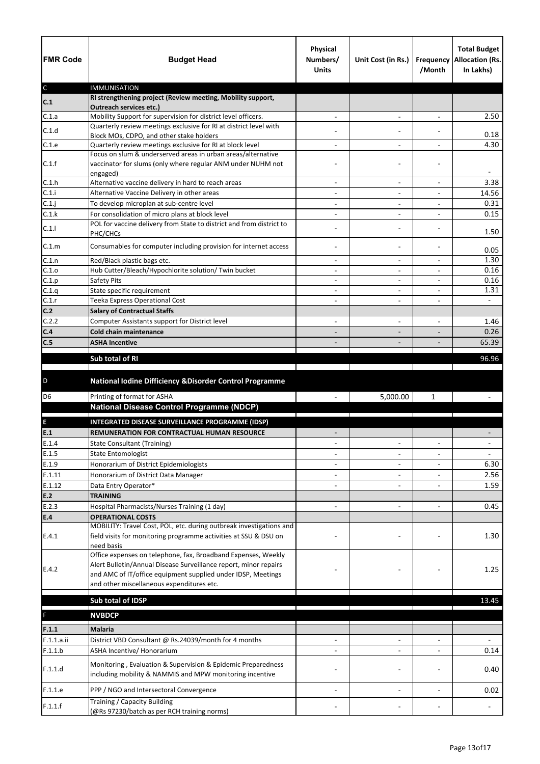| <b>FMR Code</b> | <b>Budget Head</b>                                                                                                        | Physical<br>Numbers/<br><b>Units</b> | Unit Cost (in Rs.)                                   | /Month                   | <b>Total Budget</b><br>Frequency Allocation (Rs.<br>In Lakhs) |
|-----------------|---------------------------------------------------------------------------------------------------------------------------|--------------------------------------|------------------------------------------------------|--------------------------|---------------------------------------------------------------|
| $\mathsf{C}$    | <b>IMMUNISATION</b>                                                                                                       |                                      |                                                      |                          |                                                               |
| C.1             | RI strengthening project (Review meeting, Mobility support,<br><b>Outreach services etc.)</b>                             |                                      |                                                      |                          |                                                               |
| C.1.a           | Mobility Support for supervision for district level officers.                                                             |                                      | $\overline{\phantom{a}}$                             |                          | 2.50                                                          |
| C.1.d           | Quarterly review meetings exclusive for RI at district level with                                                         |                                      |                                                      |                          |                                                               |
|                 | Block MOs, CDPO, and other stake holders                                                                                  |                                      |                                                      |                          | 0.18                                                          |
| C.1.e           | Quarterly review meetings exclusive for RI at block level<br>Focus on slum & underserved areas in urban areas/alternative |                                      | $\overline{\phantom{0}}$                             |                          | 4.30                                                          |
| C.1.f           | vaccinator for slums (only where regular ANM under NUHM not<br>engaged)                                                   |                                      |                                                      |                          |                                                               |
| C.1.h           | Alternative vaccine delivery in hard to reach areas                                                                       |                                      | $\overline{\phantom{0}}$                             |                          | 3.38                                                          |
| C.1.i           | Alternative Vaccine Delivery in other areas                                                                               | $\overline{\phantom{a}}$             | $\qquad \qquad -$                                    | $\overline{\phantom{a}}$ | 14.56                                                         |
| $C.1$ .j        | To develop microplan at sub-centre level                                                                                  | $\overline{\phantom{a}}$             | -                                                    |                          | 0.31                                                          |
| C.1.k           | For consolidation of micro plans at block level                                                                           |                                      | $\overline{a}$                                       |                          | 0.15                                                          |
| C.1.1           | POL for vaccine delivery from State to district and from district to<br>PHC/CHCs                                          |                                      | $\qquad \qquad -$                                    |                          | 1.50                                                          |
| C.1.m           | Consumables for computer including provision for internet access                                                          |                                      | $\qquad \qquad -$                                    |                          | 0.05                                                          |
| C.1.n           | Red/Black plastic bags etc.                                                                                               | $\overline{\phantom{a}}$             | $\overline{\phantom{a}}$                             | $\overline{\phantom{a}}$ | 1.30                                                          |
| C.1.0<br>C.1.p  | Hub Cutter/Bleach/Hypochlorite solution/ Twin bucket<br>Safety Pits                                                       | $\overline{\phantom{a}}$             | $\overline{\phantom{0}}$<br>$\overline{\phantom{0}}$ |                          | 0.16<br>0.16                                                  |
| C.1.q           | State specific requirement                                                                                                |                                      | $\overline{\phantom{a}}$                             |                          | 1.31                                                          |
| C.1.r           | Teeka Express Operational Cost                                                                                            | $\overline{a}$                       | $\overline{\phantom{a}}$                             | $\overline{\phantom{a}}$ | $\blacksquare$                                                |
| C.2             | <b>Salary of Contractual Staffs</b>                                                                                       |                                      |                                                      |                          |                                                               |
| C.2.2           | Computer Assistants support for District level                                                                            |                                      |                                                      |                          | 1.46                                                          |
| C.4             | <b>Cold chain maintenance</b>                                                                                             |                                      | $\qquad \qquad -$                                    | $\overline{\phantom{a}}$ | 0.26                                                          |
| C.5             | <b>ASHA Incentive</b>                                                                                                     |                                      |                                                      |                          | 65.39                                                         |
|                 | Sub total of RI                                                                                                           |                                      |                                                      |                          | 96.96                                                         |
|                 |                                                                                                                           |                                      |                                                      |                          |                                                               |
| $\mathsf D$     | National Iodine Difficiency & Disorder Control Programme                                                                  |                                      |                                                      |                          |                                                               |
| D <sub>6</sub>  | Printing of format for ASHA                                                                                               |                                      | 5,000.00                                             | $\mathbf{1}$             |                                                               |
|                 | <b>National Disease Control Programme (NDCP)</b>                                                                          |                                      |                                                      |                          |                                                               |
| $\mathsf E$     | <b>INTEGRATED DISEASE SURVEILLANCE PROGRAMME (IDSP)</b>                                                                   |                                      |                                                      |                          |                                                               |
| E.1             | REMUNERATION FOR CONTRACTUAL HUMAN RESOURCE                                                                               |                                      |                                                      |                          |                                                               |
| E.1.4           | <b>State Consultant (Training)</b>                                                                                        |                                      | $\overline{\phantom{a}}$                             | $\overline{\phantom{a}}$ |                                                               |
| E.1.5           | <b>State Entomologist</b>                                                                                                 |                                      |                                                      |                          |                                                               |
| E.1.9           | Honorarium of District Epidemiologists                                                                                    |                                      |                                                      |                          | 6.30                                                          |
| E.1.11          | Honorarium of District Data Manager                                                                                       |                                      | $\overline{\phantom{0}}$                             |                          | 2.56                                                          |
| E.1.12<br>E.2   | Data Entry Operator*<br><b>TRAINING</b>                                                                                   |                                      |                                                      |                          | 1.59                                                          |
| E.2.3           | Hospital Pharmacists/Nurses Training (1 day)                                                                              |                                      | $\overline{\phantom{0}}$                             |                          | 0.45                                                          |
| E.4             | <b>OPERATIONAL COSTS</b>                                                                                                  |                                      |                                                      |                          |                                                               |
|                 | MOBILITY: Travel Cost, POL, etc. during outbreak investigations and                                                       |                                      |                                                      |                          |                                                               |
| E.4.1           | field visits for monitoring programme activities at SSU & DSU on<br>need basis                                            |                                      |                                                      |                          | 1.30                                                          |
|                 | Office expenses on telephone, fax, Broadband Expenses, Weekly                                                             |                                      |                                                      |                          |                                                               |
| E.4.2           | Alert Bulletin/Annual Disease Surveillance report, minor repairs                                                          |                                      |                                                      |                          | 1.25                                                          |
|                 | and AMC of IT/office equipment supplied under IDSP, Meetings<br>and other miscellaneous expenditures etc.                 |                                      |                                                      |                          |                                                               |
|                 |                                                                                                                           |                                      |                                                      |                          |                                                               |
|                 | Sub total of IDSP                                                                                                         |                                      |                                                      |                          | 13.45                                                         |
| F               | <b>NVBDCP</b>                                                                                                             |                                      |                                                      |                          |                                                               |
| F.1.1           | <b>Malaria</b>                                                                                                            |                                      |                                                      |                          |                                                               |
| F.1.1.a.ii      | District VBD Consultant @ Rs.24039/month for 4 months                                                                     |                                      | $\overline{\phantom{0}}$                             |                          |                                                               |
| F.1.1.b         | ASHA Incentive/ Honorarium                                                                                                |                                      |                                                      |                          | 0.14                                                          |
|                 |                                                                                                                           |                                      |                                                      |                          |                                                               |
| F.1.1.d         | Monitoring, Evaluation & Supervision & Epidemic Preparedness<br>including mobility & NAMMIS and MPW monitoring incentive  |                                      |                                                      |                          | 0.40                                                          |
|                 |                                                                                                                           |                                      |                                                      |                          |                                                               |
| F.1.1.e         | PPP / NGO and Intersectoral Convergence                                                                                   |                                      |                                                      |                          | 0.02                                                          |
| F.1.1.f         | Training / Capacity Building<br>(@Rs 97230/batch as per RCH training norms)                                               |                                      |                                                      |                          |                                                               |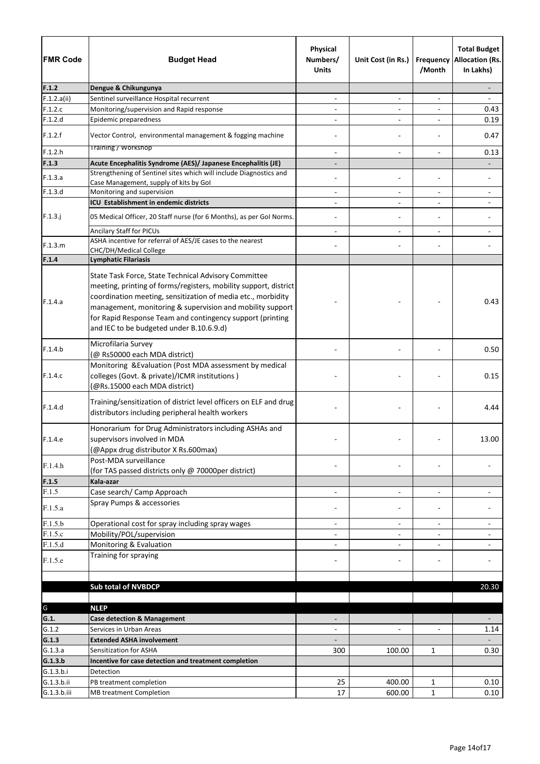| <b>FMR Code</b>    | <b>Budget Head</b>                                                                                                                                                                                                                                                                                                                                             | Physical<br>Numbers/<br><b>Units</b> | Unit Cost (in Rs.)       | /Month                   | <b>Total Budget</b><br><b>Frequency Allocation (Rs.</b><br>In Lakhs) |
|--------------------|----------------------------------------------------------------------------------------------------------------------------------------------------------------------------------------------------------------------------------------------------------------------------------------------------------------------------------------------------------------|--------------------------------------|--------------------------|--------------------------|----------------------------------------------------------------------|
| F.1.2              | Dengue & Chikungunya                                                                                                                                                                                                                                                                                                                                           |                                      |                          |                          |                                                                      |
| F.1.2.a(ii)        | Sentinel surveillance Hospital recurrent                                                                                                                                                                                                                                                                                                                       |                                      | $\overline{\phantom{a}}$ |                          |                                                                      |
| F.1.2.c            | Monitoring/supervision and Rapid response                                                                                                                                                                                                                                                                                                                      |                                      | $\overline{\phantom{0}}$ | $\overline{a}$           | 0.43                                                                 |
| F.1.2.d            | Epidemic preparedness                                                                                                                                                                                                                                                                                                                                          |                                      | $\overline{\phantom{0}}$ |                          | 0.19                                                                 |
| F.1.2.f            | Vector Control, environmental management & fogging machine                                                                                                                                                                                                                                                                                                     |                                      |                          |                          | 0.47                                                                 |
| F.1.2.h            | Training / workshop                                                                                                                                                                                                                                                                                                                                            |                                      | $\overline{\phantom{0}}$ |                          | 0.13                                                                 |
| F.1.3              | Acute Encephalitis Syndrome (AES)/ Japanese Encephalitis (JE)                                                                                                                                                                                                                                                                                                  |                                      |                          |                          |                                                                      |
| F.1.3.a            | Strengthening of Sentinel sites which will include Diagnostics and                                                                                                                                                                                                                                                                                             |                                      |                          |                          |                                                                      |
|                    | Case Management, supply of kits by Gol                                                                                                                                                                                                                                                                                                                         |                                      |                          |                          |                                                                      |
| F.1.3.d            | Monitoring and supervision                                                                                                                                                                                                                                                                                                                                     |                                      | $\overline{\phantom{0}}$ | $\overline{\phantom{a}}$ |                                                                      |
|                    | ICU Establishment in endemic districts                                                                                                                                                                                                                                                                                                                         | $\overline{\phantom{0}}$             | $\overline{\phantom{0}}$ | $\overline{a}$           | $\overline{\phantom{a}}$                                             |
| $F.1.3.$ j         | 05 Medical Officer, 20 Staff nurse (for 6 Months), as per Gol Norms.<br>Ancilary Staff for PICUs                                                                                                                                                                                                                                                               |                                      | $\overline{\phantom{0}}$ | $\overline{\phantom{a}}$ |                                                                      |
|                    | ASHA incentive for referral of AES/JE cases to the nearest                                                                                                                                                                                                                                                                                                     |                                      |                          |                          |                                                                      |
| F.1.3.m            | CHC/DH/Medical College                                                                                                                                                                                                                                                                                                                                         |                                      |                          |                          |                                                                      |
| F.1.4              | <b>Lymphatic Filariasis</b>                                                                                                                                                                                                                                                                                                                                    |                                      |                          |                          |                                                                      |
| F.1.4.a            | State Task Force, State Technical Advisory Committee<br>meeting, printing of forms/registers, mobility support, district<br>coordination meeting, sensitization of media etc., morbidity<br>management, monitoring & supervision and mobility support<br>for Rapid Response Team and contingency support (printing<br>and IEC to be budgeted under B.10.6.9.d) |                                      |                          |                          | 0.43                                                                 |
| F.1.4.b            | Microfilaria Survey<br>(@ Rs50000 each MDA district)                                                                                                                                                                                                                                                                                                           |                                      |                          |                          | 0.50                                                                 |
| F.1.4.c            | Monitoring & Evaluation (Post MDA assessment by medical<br>colleges (Govt. & private)/ICMR institutions)<br>(@Rs.15000 each MDA district)                                                                                                                                                                                                                      |                                      |                          |                          | 0.15                                                                 |
| F.1.4.d            | Training/sensitization of district level officers on ELF and drug<br>distributors including peripheral health workers                                                                                                                                                                                                                                          |                                      |                          |                          | 4.44                                                                 |
| F.1.4.e            | Honorarium for Drug Administrators including ASHAs and<br>supervisors involved in MDA<br>(@Appx drug distributor X Rs.600max)                                                                                                                                                                                                                                  |                                      |                          |                          | 13.00                                                                |
| F.1.4.h            | Post-MDA surveillance<br>(for TAS passed districts only @ 70000per district)                                                                                                                                                                                                                                                                                   |                                      |                          |                          |                                                                      |
| F.1.5              | Kala-azar                                                                                                                                                                                                                                                                                                                                                      |                                      |                          |                          |                                                                      |
| F.1.5              | Case search/ Camp Approach                                                                                                                                                                                                                                                                                                                                     | $\overline{a}$                       | $\overline{\phantom{a}}$ | $\overline{a}$           |                                                                      |
| F.1.5.a            | Spray Pumps & accessories                                                                                                                                                                                                                                                                                                                                      |                                      |                          |                          |                                                                      |
| F.1.5.b            | Operational cost for spray including spray wages                                                                                                                                                                                                                                                                                                               | $\overline{\phantom{a}}$             | $\overline{\phantom{a}}$ | $\overline{\phantom{a}}$ |                                                                      |
| F.1.5.c            | Mobility/POL/supervision                                                                                                                                                                                                                                                                                                                                       |                                      |                          |                          |                                                                      |
| F.1.5.d<br>F.1.5.e | Monitoring & Evaluation<br>Training for spraying                                                                                                                                                                                                                                                                                                               |                                      | $\overline{\phantom{0}}$ |                          |                                                                      |
|                    |                                                                                                                                                                                                                                                                                                                                                                |                                      |                          |                          |                                                                      |
|                    | <b>Sub total of NVBDCP</b>                                                                                                                                                                                                                                                                                                                                     |                                      |                          |                          | 20.30                                                                |
|                    |                                                                                                                                                                                                                                                                                                                                                                |                                      |                          |                          |                                                                      |
| G                  | <b>NLEP</b>                                                                                                                                                                                                                                                                                                                                                    |                                      |                          |                          |                                                                      |
| G.1.               | <b>Case detection &amp; Management</b>                                                                                                                                                                                                                                                                                                                         |                                      |                          |                          |                                                                      |
| G.1.2<br>G.1.3     | Services in Urban Areas<br><b>Extended ASHA involvement</b>                                                                                                                                                                                                                                                                                                    |                                      |                          |                          | 1.14                                                                 |
| G.1.3.a            | Sensitization for ASHA                                                                                                                                                                                                                                                                                                                                         | 300                                  | 100.00                   | $\mathbf{1}$             | 0.30                                                                 |
| G.1.3.b            | Incentive for case detection and treatment completion                                                                                                                                                                                                                                                                                                          |                                      |                          |                          |                                                                      |
| G.1.3.b.i          | Detection                                                                                                                                                                                                                                                                                                                                                      |                                      |                          |                          |                                                                      |
| G.1.3.b.ii         | PB treatment completion                                                                                                                                                                                                                                                                                                                                        | 25                                   | 400.00                   | 1                        | 0.10                                                                 |
| G.1.3.b.iii        | <b>MB treatment Completion</b>                                                                                                                                                                                                                                                                                                                                 | 17                                   | 600.00                   | $\mathbf{1}$             | 0.10                                                                 |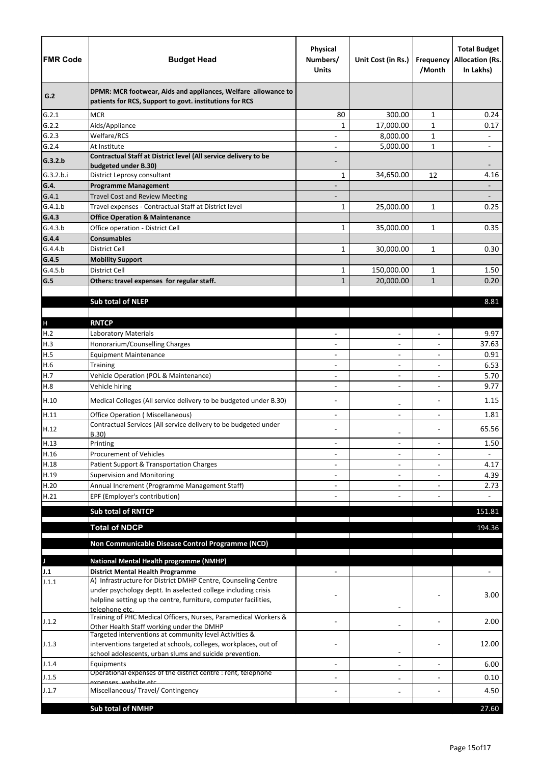| <b>FMR Code</b>      | <b>Budget Head</b>                                                                                                             | <b>Physical</b><br>Numbers/<br><b>Units</b> | Unit Cost (in Rs.)       | /Month                   | <b>Total Budget</b><br><b>Frequency Allocation (Rs.</b><br>In Lakhs) |
|----------------------|--------------------------------------------------------------------------------------------------------------------------------|---------------------------------------------|--------------------------|--------------------------|----------------------------------------------------------------------|
| G.2                  | DPMR: MCR footwear, Aids and appliances, Welfare allowance to<br>patients for RCS, Support to govt. institutions for RCS       |                                             |                          |                          |                                                                      |
| G.2.1                | <b>MCR</b>                                                                                                                     | 80                                          | 300.00                   | $\mathbf{1}$             | 0.24                                                                 |
| G.2.2                | Aids/Appliance                                                                                                                 | 1                                           | 17,000.00                | $\mathbf{1}$             | 0.17                                                                 |
| G.2.3                | Welfare/RCS                                                                                                                    |                                             | 8,000.00                 | $\mathbf{1}$             | $\qquad \qquad \blacksquare$                                         |
| G.2.4                | At Institute                                                                                                                   |                                             | 5,000.00                 | $\mathbf{1}$             |                                                                      |
| G.3.2.b<br>G.3.2.b.i | Contractual Staff at District level (All service delivery to be<br>budgeted under B.30)<br>District Leprosy consultant         | 1                                           | 34,650.00                | 12                       | 4.16                                                                 |
| G.4.                 | <b>Programme Management</b>                                                                                                    |                                             |                          |                          |                                                                      |
| G.4.1                | <b>Travel Cost and Review Meeting</b>                                                                                          |                                             |                          |                          |                                                                      |
| G.4.1.b              | Travel expenses - Contractual Staff at District level                                                                          | $\mathbf{1}$                                | 25,000.00                | $\mathbf{1}$             | 0.25                                                                 |
| G.4.3                | <b>Office Operation &amp; Maintenance</b>                                                                                      |                                             |                          |                          |                                                                      |
| G.4.3.b              | Office operation - District Cell                                                                                               | $\mathbf{1}$                                | 35,000.00                | $\mathbf{1}$             | 0.35                                                                 |
| G.4.4                | <b>Consumables</b>                                                                                                             |                                             |                          |                          |                                                                      |
| G.4.4.b              | <b>District Cell</b>                                                                                                           | $\mathbf{1}$                                | 30,000.00                | $\mathbf{1}$             | 0.30                                                                 |
| G.4.5                | <b>Mobility Support</b>                                                                                                        |                                             |                          |                          |                                                                      |
| G.4.5.b              | District Cell                                                                                                                  | $\mathbf{1}$                                | 150,000.00               | $\mathbf{1}$             | 1.50                                                                 |
| G.5                  | Others: travel expenses for regular staff.                                                                                     | $\mathbf{1}$                                | 20,000.00                | $\mathbf{1}$             | 0.20                                                                 |
|                      |                                                                                                                                |                                             |                          |                          |                                                                      |
|                      | <b>Sub total of NLEP</b>                                                                                                       |                                             |                          |                          | 8.81                                                                 |
|                      |                                                                                                                                |                                             |                          |                          |                                                                      |
| $\mathsf{H}%$        | <b>RNTCP</b>                                                                                                                   |                                             |                          |                          |                                                                      |
| H.2                  | Laboratory Materials                                                                                                           |                                             | $\overline{\phantom{0}}$ |                          | 9.97                                                                 |
| H.3                  | Honorarium/Counselling Charges                                                                                                 |                                             | $\overline{\phantom{0}}$ | $\overline{\phantom{a}}$ | 37.63                                                                |
| H.5                  | <b>Equipment Maintenance</b>                                                                                                   |                                             | $\qquad \qquad -$        | $\overline{\phantom{a}}$ | 0.91                                                                 |
| H.6                  | Training                                                                                                                       | $\overline{\phantom{a}}$                    | $\overline{\phantom{0}}$ |                          | 6.53                                                                 |
| H.7                  | Vehicle Operation (POL & Maintenance)                                                                                          | $\overline{a}$                              | $\overline{\phantom{a}}$ |                          | 5.70                                                                 |
| H.8                  | Vehicle hiring                                                                                                                 |                                             |                          |                          | 9.77                                                                 |
| H.10                 | Medical Colleges (All service delivery to be budgeted under B.30)                                                              |                                             | $\overline{\phantom{0}}$ |                          | 1.15                                                                 |
| H.11                 | <b>Office Operation (Miscellaneous)</b>                                                                                        |                                             | $\overline{\phantom{0}}$ |                          | 1.81                                                                 |
| H.12                 | Contractual Services (All service delivery to be budgeted under<br>B.30)                                                       |                                             | -                        |                          | 65.56                                                                |
| H.13                 | Printing                                                                                                                       | $\overline{\phantom{a}}$                    | $\overline{\phantom{0}}$ | $\overline{a}$           | 1.50                                                                 |
| H.16                 | <b>Procurement of Vehicles</b>                                                                                                 |                                             | $\overline{\phantom{0}}$ |                          |                                                                      |
| H.18                 | Patient Support & Transportation Charges                                                                                       |                                             | $\qquad \qquad -$        |                          | 4.17                                                                 |
| H.19                 | <b>Supervision and Monitoring</b>                                                                                              |                                             | $\overline{\phantom{0}}$ |                          | 4.39                                                                 |
| H.20                 | Annual Increment (Programme Management Staff)                                                                                  |                                             | $\overline{\phantom{0}}$ |                          | 2.73                                                                 |
| H.21                 | EPF (Employer's contribution)                                                                                                  |                                             |                          |                          | $\overline{\phantom{0}}$                                             |
|                      | <b>Sub total of RNTCP</b>                                                                                                      |                                             |                          |                          | 151.81                                                               |
|                      |                                                                                                                                |                                             |                          |                          |                                                                      |
|                      | <b>Total of NDCP</b>                                                                                                           |                                             |                          |                          | 194.36                                                               |
|                      | Non Communicable Disease Control Programme (NCD)                                                                               |                                             |                          |                          |                                                                      |
|                      |                                                                                                                                |                                             |                          |                          |                                                                      |
|                      | <b>National Mental Health programme (NMHP)</b>                                                                                 |                                             |                          |                          |                                                                      |
| J.1                  | <b>District Mental Health Programme</b>                                                                                        |                                             |                          |                          |                                                                      |
| J.1.1                | A) Infrastructure for District DMHP Centre, Counseling Centre<br>under psychology deptt. In aselected college including crisis |                                             |                          |                          | 3.00                                                                 |
|                      | helpline setting up the centre, furniture, computer facilities,                                                                |                                             |                          |                          |                                                                      |
| J.1.2                | telephone etc.<br>Training of PHC Medical Officers, Nurses, Paramedical Workers &<br>Other Health Staff working under the DMHP |                                             |                          |                          | 2.00                                                                 |
| J.1.3                | Targeted interventions at community level Activities &<br>interventions targeted at schools, colleges, workplaces, out of      |                                             |                          |                          | 12.00                                                                |
|                      | school adolescents, urban slums and suicide prevention.                                                                        |                                             | $\qquad \qquad -$        |                          |                                                                      |
| J.1.4                | Equipments<br>Operational expenses of the district centre : rent, telephone                                                    |                                             | $\qquad \qquad -$        |                          | 6.00                                                                 |
| J.1.5                | exnenses, website etc                                                                                                          |                                             | $\qquad \qquad -$        |                          | 0.10                                                                 |
| J.1.7                | Miscellaneous/ Travel/ Contingency                                                                                             |                                             |                          |                          | 4.50                                                                 |
|                      |                                                                                                                                |                                             |                          |                          |                                                                      |
|                      | <b>Sub total of NMHP</b>                                                                                                       |                                             |                          |                          | 27.60                                                                |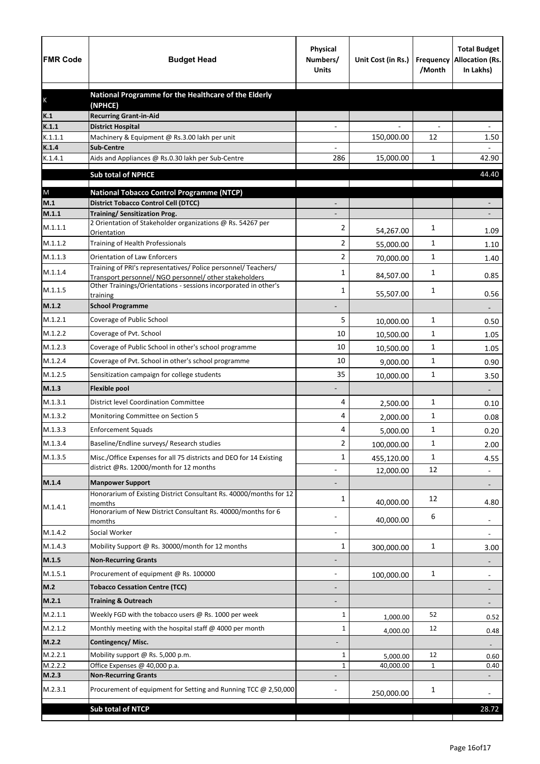| <b>FMR Code</b>  | <b>Budget Head</b>                                                                                    | <b>Physical</b><br>Numbers/<br><b>Units</b> | Unit Cost (in Rs.) | Frequency<br>/Month | <b>Total Budget</b><br><b>Allocation (Rs.</b><br>In Lakhs) |
|------------------|-------------------------------------------------------------------------------------------------------|---------------------------------------------|--------------------|---------------------|------------------------------------------------------------|
|                  | National Programme for the Healthcare of the Elderly                                                  |                                             |                    |                     |                                                            |
| K                | (NPHCE)                                                                                               |                                             |                    |                     |                                                            |
| K.1              | <b>Recurring Grant-in-Aid</b>                                                                         |                                             |                    |                     |                                                            |
| K.1.1<br>K.1.1.1 | <b>District Hospital</b><br>Machinery & Equipment @ Rs.3.00 lakh per unit                             |                                             | 150,000.00         | 12                  | 1.50                                                       |
| K.1.4            | <b>Sub-Centre</b>                                                                                     |                                             |                    |                     |                                                            |
| K.1.4.1          | Aids and Appliances @ Rs.0.30 lakh per Sub-Centre                                                     | 286                                         | 15,000.00          | 1                   | 42.90                                                      |
|                  | <b>Sub total of NPHCE</b>                                                                             |                                             |                    |                     | 44.40                                                      |
|                  |                                                                                                       |                                             |                    |                     |                                                            |
| ${\sf M}$<br>M.1 | <b>National Tobacco Control Programme (NTCP)</b><br><b>District Tobacco Control Cell (DTCC)</b>       |                                             |                    |                     |                                                            |
| M.1.1            | <b>Training/ Sensitization Prog.</b>                                                                  |                                             |                    |                     |                                                            |
| M.1.1.1          | 2 Orientation of Stakeholder organizations @ Rs. 54267 per                                            | 2                                           |                    | 1                   |                                                            |
| M.1.1.2          | Orientation<br>Training of Health Professionals                                                       | $\overline{2}$                              | 54,267.00          | 1                   | 1.09                                                       |
| M.1.1.3          |                                                                                                       |                                             | 55,000.00          |                     | 1.10                                                       |
|                  | <b>Orientation of Law Enforcers</b><br>Training of PRI's representatives/ Police personnel/ Teachers/ | 2                                           | 70,000.00          | 1                   | 1.40                                                       |
| M.1.1.4          | Transport personnel/ NGO personnel/ other stakeholders                                                | 1                                           | 84,507.00          | 1                   | 0.85                                                       |
| M.1.1.5          | Other Trainings/Orientations - sessions incorporated in other's<br>training                           | 1                                           | 55,507.00          | 1                   | 0.56                                                       |
| M.1.2            | <b>School Programme</b>                                                                               |                                             |                    |                     |                                                            |
| M.1.2.1          | Coverage of Public School                                                                             | 5                                           | 10,000.00          | 1                   | 0.50                                                       |
| M.1.2.2          | Coverage of Pvt. School                                                                               | 10                                          | 10,500.00          | 1                   | 1.05                                                       |
| M.1.2.3          | Coverage of Public School in other's school programme                                                 | 10                                          | 10,500.00          | 1                   | 1.05                                                       |
| M.1.2.4          | Coverage of Pvt. School in other's school programme                                                   | 10                                          | 9,000.00           | 1                   | 0.90                                                       |
| M.1.2.5          | Sensitization campaign for college students                                                           | 35                                          | 10,000.00          | $\mathbf{1}$        | 3.50                                                       |
| M.1.3            | <b>Flexible pool</b>                                                                                  |                                             |                    |                     |                                                            |
| M.1.3.1          | <b>District level Coordination Committee</b>                                                          | 4                                           | 2,500.00           | 1                   | 0.10                                                       |
| M.1.3.2          | Monitoring Committee on Section 5                                                                     | 4                                           | 2,000.00           | 1                   | 0.08                                                       |
| M.1.3.3          | <b>Enforcement Squads</b>                                                                             | 4                                           | 5,000.00           | 1                   | 0.20                                                       |
| M.1.3.4          | Baseline/Endline surveys/ Research studies                                                            | 2                                           | 100,000.00         | 1                   | 2.00                                                       |
| M.1.3.5          | Misc./Office Expenses for all 75 districts and DEO for 14 Existing                                    | 1                                           | 455,120.00         | 1                   | 4.55                                                       |
|                  | district @Rs. 12000/month for 12 months                                                               |                                             | 12,000.00          | 12                  | $\overline{\phantom{a}}$                                   |
| M.1.4            | <b>Manpower Support</b>                                                                               |                                             |                    |                     |                                                            |
|                  | Honorarium of Existing District Consultant Rs. 40000/months for 12                                    | 1                                           |                    | 12                  |                                                            |
| M.1.4.1          | momths<br>Honorarium of New District Consultant Rs. 40000/months for 6                                |                                             | 40,000.00          |                     | 4.80                                                       |
|                  | momths                                                                                                |                                             | 40,000.00          | 6                   | $\overline{\phantom{a}}$                                   |
| M.1.4.2          | Social Worker                                                                                         |                                             |                    |                     | $\overline{a}$                                             |
| M.1.4.3          | Mobility Support @ Rs. 30000/month for 12 months                                                      | $\mathbf{1}$                                | 300,000.00         | $\mathbf 1$         | 3.00                                                       |
| M.1.5            | <b>Non-Recurring Grants</b>                                                                           |                                             |                    |                     |                                                            |
| M.1.5.1          | Procurement of equipment @ Rs. 100000                                                                 |                                             | 100,000.00         | $\mathbf 1$         |                                                            |
| M.2              | <b>Tobacco Cessation Centre (TCC)</b>                                                                 |                                             |                    |                     |                                                            |
| M.2.1            | <b>Training &amp; Outreach</b>                                                                        |                                             |                    |                     |                                                            |
| M.2.1.1          | Weekly FGD with the tobacco users @ Rs. 1000 per week                                                 | 1                                           | 1,000.00           | 52                  | 0.52                                                       |
| M.2.1.2          | Monthly meeting with the hospital staff @ 4000 per month                                              | 1                                           | 4,000.00           | 12                  | 0.48                                                       |
| M.2.2            | Contingency/Misc.                                                                                     |                                             |                    |                     |                                                            |
| M.2.2.1          | Mobility support @ Rs. 5,000 p.m.                                                                     | 1                                           | 5,000.00           | 12                  | 0.60                                                       |
| M.2.2.2          | Office Expenses @ 40,000 p.a.                                                                         | 1                                           | 40,000.00          | $\mathbf{1}$        | 0.40                                                       |
| M.2.3            | <b>Non-Recurring Grants</b>                                                                           |                                             |                    |                     |                                                            |
| M.2.3.1          | Procurement of equipment for Setting and Running TCC @ 2,50,000                                       |                                             | 250,000.00         | 1                   |                                                            |
|                  | <b>Sub total of NTCP</b>                                                                              |                                             |                    |                     | 28.72                                                      |
|                  |                                                                                                       |                                             |                    |                     |                                                            |